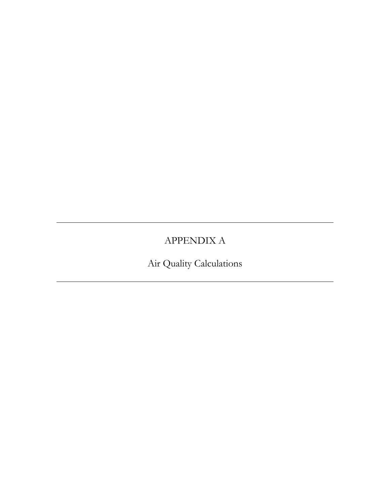# APPENDIX A

Air Quality Calculations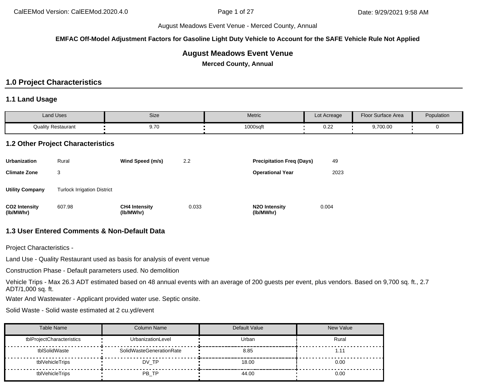**EMFAC Off-Model Adjustment Factors for Gasoline Light Duty Vehicle to Account for the SAFE Vehicle Rule Not Applied**

# **August Meadows Event Venue**

**Merced County, Annual**

# **1.0 Project Characteristics**

#### **1.1 Land Usage**

| <b>Land Uses</b>          | Size       | Metric   | Lot Acreage             | Floor Surface Area | Population |
|---------------------------|------------|----------|-------------------------|--------------------|------------|
| <b>Quality Restaurant</b> | 70<br>9.7U | 1000sqft | 10 <sup>o</sup><br>◡…∠∠ | 9,700.00           |            |

#### **1.2 Other Project Characteristics**

| <b>Urbanization</b>               | Rural                              | Wind Speed (m/s)                  | 2.2   | <b>Precipitation Freg (Days)</b>        | 49    |
|-----------------------------------|------------------------------------|-----------------------------------|-------|-----------------------------------------|-------|
| <b>Climate Zone</b>               | 3                                  |                                   |       | <b>Operational Year</b>                 | 2023  |
| <b>Utility Company</b>            | <b>Turlock Irrigation District</b> |                                   |       |                                         |       |
| <b>CO2 Intensity</b><br>(lb/MWhr) | 607.98                             | <b>CH4 Intensity</b><br>(lb/MWhr) | 0.033 | N <sub>2</sub> O Intensity<br>(lb/MWhr) | 0.004 |

### **1.3 User Entered Comments & Non-Default Data**

Project Characteristics -

Land Use - Quality Restaurant used as basis for analysis of event venue

Construction Phase - Default parameters used. No demolition

Vehicle Trips - Max 26.3 ADT estimated based on 48 annual events with an average of 200 guests per event, plus vendors. Based on 9,700 sq. ft., 2.7 ADT/1,000 sq. ft.

Water And Wastewater - Applicant provided water use. Septic onsite.

Solid Waste - Solid waste estimated at 2 cu.yd/event

| <b>Table Name</b>         | <b>Column Name</b>       | Default Value | New Value |
|---------------------------|--------------------------|---------------|-----------|
| tblProjectCharacteristics | UrbanizationLevel        | Urban         | Rural     |
| tblSolidWaste             | SolidWasteGenerationRate | 8.85          | 1.11      |
| tblVehicleTrips           | DV TP                    | 18.00         | 0.00      |
| tblVehicleTrips           | PB TP                    | 44.00         | 0.00      |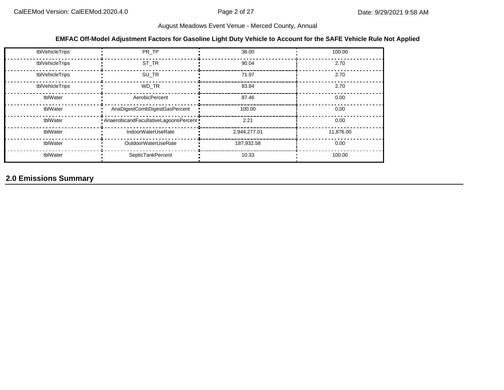#### **EMFAC Off-Model Adjustment Factors for Gasoline Light Duty Vehicle to Account for the SAFE Vehicle Rule Not Applied**

| tblVehicleTrips | PR TP                                     | 38.00        | 100.00    |
|-----------------|-------------------------------------------|--------------|-----------|
| tblVehicleTrips | ST TR                                     | 90.04        | 2.70      |
| tblVehicleTrips | SU TR                                     | 71.97        | 2.70      |
| tblVehicleTrips | WD TR                                     | 83.84        | 2.70      |
| tblWater        | AerobicPercent                            | 87.46        | 0.00      |
| tblWater        | AnaDigestCombDigestGasPercent             | 100.00       | 0.00      |
| tblWater        | . AnaerobicandFacultativeLagoonsPercent . | 2.21         | 0.00      |
| tblWater        | IndoorWaterUseRate                        | 2,944,277.01 | 11,876.00 |
| tblWater        | OutdoorWaterUseRate                       | 187,932.58   | 0.00      |
| tblWater        | SepticTankPercent                         | 10.33        | 100.00    |

# **2.0 Emissions Summary**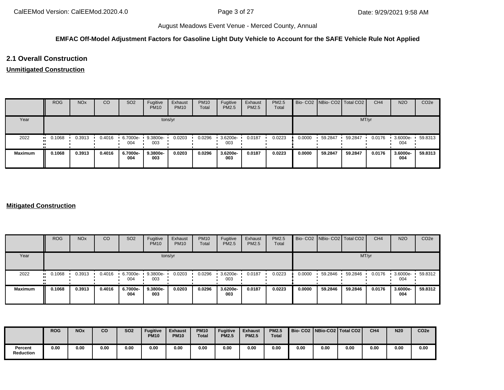## **EMFAC Off-Model Adjustment Factors for Gasoline Light Duty Vehicle to Account for the SAFE Vehicle Rule Not Applied**

# **2.1 Overall Construction**

#### **Unmitigated Construction**

|                | <b>ROG</b> | <b>NO<sub>x</sub></b> | CO     | SO <sub>2</sub> | Fugitive<br><b>PM10</b> | Exhaust<br><b>PM10</b> | <b>PM10</b><br>Total | Fugitive<br>PM2.5 | Exhaust<br><b>PM2.5</b> | PM2.5<br>Total |        | Bio- CO2 NBio- CO2 Total CO2 |         | CH <sub>4</sub> | <b>N2O</b>      | CO <sub>2e</sub> |
|----------------|------------|-----------------------|--------|-----------------|-------------------------|------------------------|----------------------|-------------------|-------------------------|----------------|--------|------------------------------|---------|-----------------|-----------------|------------------|
| Year           |            |                       |        |                 |                         | tons/yr                |                      |                   |                         |                |        |                              | MT/yr   |                 |                 |                  |
| 2022           | 0.1068     | 0.3913                | 0.4016 | 6.7000e-<br>004 | 9.3800e-<br>003         | 0.0203                 | 0.0296               | 3.6200e-<br>003   | 0.0187                  | 0.0223         | 0.0000 | 59.2847                      | 59.2847 | 0.0176          | 3.6000e-<br>004 | 59.8313          |
| <b>Maximum</b> | 0.1068     | 0.3913                | 0.4016 | 6.7000e-<br>004 | 9.3800e-<br>003         | 0.0203                 | 0.0296               | 3.6200e-<br>003   | 0.0187                  | 0.0223         | 0.0000 | 59.2847                      | 59.2847 | 0.0176          | 3.6000e-<br>004 | 59.8313          |

#### **Mitigated Construction**

|                | <b>ROG</b>            | <b>NO<sub>x</sub></b> | CO     | SO <sub>2</sub> | Fugitive<br><b>PM10</b> | Exhaust<br><b>PM10</b> | <b>PM10</b><br>Total | Fugitive<br><b>PM2.5</b> | Exhaust<br>PM2.5 | <b>PM2.5</b><br>Total |        | Bio- CO2 NBio- CO2 Total CO2 |         | CH <sub>4</sub> | <b>N2O</b>      | CO <sub>2e</sub> |
|----------------|-----------------------|-----------------------|--------|-----------------|-------------------------|------------------------|----------------------|--------------------------|------------------|-----------------------|--------|------------------------------|---------|-----------------|-----------------|------------------|
| Year           |                       |                       |        |                 |                         | tons/yr                |                      |                          |                  |                       |        |                              | MT/yr   |                 |                 |                  |
| 2022           | $\blacksquare$ 0.1068 | 0.3913                | 0.4016 | 6.7000e-<br>004 | 9.3800e-<br>003         | 0.0203                 | 0.0296               | 3.6200e-<br>003          | 0.0187           | 0.0223                | 0.0000 | 59.2846                      | 59.2846 | 0.0176          | 3.6000e-<br>004 | 59.8312          |
| <b>Maximum</b> | 0.1068                | 0.3913                | 0.4016 | 6.7000e-<br>004 | 9.3800e-<br>003         | 0.0203                 | 0.0296               | 3.6200e-<br>003          | 0.0187           | 0.0223                | 0.0000 | 59.2846                      | 59.2846 | 0.0176          | 3.6000e-<br>004 | 59.8312          |

|                      | <b>ROG</b> | <b>NOx</b> | co   | <b>SO2</b> | <b>Fugitive</b><br><b>PM10</b> | <b>Exhaust</b><br><b>PM10</b> | <b>PM10</b><br><b>Total</b> | <b>Fugitive</b><br><b>PM2.5</b> | <b>Exhaust</b><br><b>PM2.5</b> | <b>PM2.5</b><br><b>Total</b> | Bio- CO2   NBio-CO2   Total CO2 |      |      | CH <sub>4</sub> | <b>N20</b> | CO <sub>2e</sub> |
|----------------------|------------|------------|------|------------|--------------------------------|-------------------------------|-----------------------------|---------------------------------|--------------------------------|------------------------------|---------------------------------|------|------|-----------------|------------|------------------|
| Percent<br>Reduction | 0.00       | 0.00       | 0.00 | 0.00       | 0.00                           | 0.00                          | 0.00                        | 0.00                            | 0.00                           | 0.00                         | 0.00                            | 0.00 | 0.00 | 0.00            | 0.00       | 0.00             |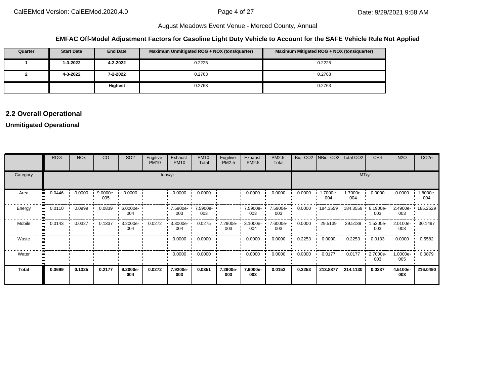#### **EMFAC Off-Model Adjustment Factors for Gasoline Light Duty Vehicle to Account for the SAFE Vehicle Rule Not Applied**

| Quarter | <b>Start Date</b> | <b>End Date</b> | Maximum Unmitigated ROG + NOX (tons/quarter) | Maximum Mitigated ROG + NOX (tons/quarter) |
|---------|-------------------|-----------------|----------------------------------------------|--------------------------------------------|
|         | 1-3-2022          | 4-2-2022        | 0.2225                                       | 0.2225                                     |
|         | 4-3-2022          | $7 - 2 - 2022$  | 0.2763                                       | 0.2763                                     |
|         |                   | <b>Highest</b>  | 0.2763                                       | 0.2763                                     |

# **2.2 Overall Operational**

#### **Unmitigated Operational**

|              | <b>ROG</b> | <b>NO<sub>x</sub></b> | CO              | SO <sub>2</sub>                 | Fugitive<br><b>PM10</b> | Exhaust<br><b>PM10</b> | <b>PM10</b><br>Total | Fugitive<br>PM2.5 | Exhaust<br><b>PM2.5</b> | PM2.5<br>Total  | Bio-CO <sub>2</sub> |                | NBio- CO2   Total CO2 | CH <sub>4</sub>    | <b>N2O</b>              | CO <sub>2e</sub> |
|--------------|------------|-----------------------|-----------------|---------------------------------|-------------------------|------------------------|----------------------|-------------------|-------------------------|-----------------|---------------------|----------------|-----------------------|--------------------|-------------------------|------------------|
| Category     |            |                       |                 |                                 |                         | tons/yr                |                      |                   |                         |                 |                     |                |                       | MT/yr              |                         |                  |
| Area         | 0.0446     | 0.0000                | 9.0000e-<br>005 | 0.0000                          |                         | 0.0000                 | 0.0000               |                   | 0.0000                  | 0.0000          | 0.0000              | .7000e-<br>004 | 1.7000e-<br>004       | 0.0000             | 0.0000                  | 1.8000e-<br>004  |
| Energy       | 0.0110     | 0.0999                | 0.0839          | $\cdot$ 6.0000e- $\cdot$<br>004 |                         | 7.5900e-<br>003        | 7.5900e-<br>003      |                   | 7.5900e- ·<br>003       | 7.5900e-<br>003 | 0.0000              | 184.3559       | 184.3559              | 6.1900e-<br>003    | 2.4900e-<br>003         | $+185.2529$      |
| Mobile       | 0.0143     | 0.0327                | 0.1337          | $3.2000e -$<br>004              | 0.0272                  | 3.3000e-<br>004        | 0.0275               | 7.2900e-<br>003   | 3.1000e-<br>004         | 7.6000e-<br>003 | 0.0000              | 29.5139        | 29.5139               | 1.5300e-<br>003    | 2.0100e- 30.1497<br>003 |                  |
| Waste        |            |                       |                 |                                 |                         | 0.0000                 | 0.0000               |                   | 0.0000                  | 0.0000          | 0.2253              | 0.0000         | 0.2253                | 0.0133             | 0.0000                  | 0.5582           |
| Water        |            |                       |                 |                                 |                         | 0.0000                 | 0.0000               |                   | 0.0000                  | 0.0000          | 0.0000              | 0.0177         | 0.0177                | $2.7000e -$<br>003 | $1.0000e -$<br>005      | 0.0879           |
| <b>Total</b> | 0.0699     | 0.1325                | 0.2177          | 9.2000e-<br>004                 | 0.0272                  | 7.9200e-<br>003        | 0.0351               | 7.2900e-<br>003   | 7.9000e-<br>003         | 0.0152          | 0.2253              | 213.8877       | 214.1130              | 0.0237             | 4.5100e-<br>003         | 216.0490         |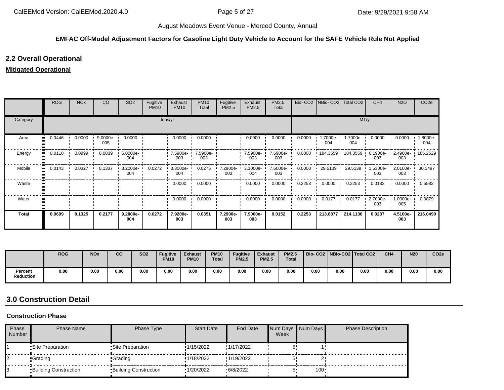## **EMFAC Off-Model Adjustment Factors for Gasoline Light Duty Vehicle to Account for the SAFE Vehicle Rule Not Applied**

# **2.2 Overall Operational**

#### **Mitigated Operational**

|              | <b>ROG</b> | <b>NO<sub>x</sub></b> | CO                 | SO <sub>2</sub> | Fugitive<br><b>PM10</b> | Exhaust<br><b>PM10</b> | <b>PM10</b><br>Total | Fugitive<br>PM2.5 | Exhaust<br>PM2.5   | PM2.5<br>Total  |        | Bio- CO2   NBio- CO2   Total CO2 |                     | CH <sub>4</sub> | <b>N2O</b>      | CO <sub>2e</sub> |
|--------------|------------|-----------------------|--------------------|-----------------|-------------------------|------------------------|----------------------|-------------------|--------------------|-----------------|--------|----------------------------------|---------------------|-----------------|-----------------|------------------|
| Category     |            |                       |                    |                 |                         | tons/yr                |                      |                   |                    |                 |        |                                  | MT/yr               |                 |                 |                  |
| Area         | 0.0446     | 0.0000                | $9.0000e -$<br>005 | 0.0000          |                         | 0.0000                 | 0.0000               |                   | 0.0000             | 0.0000          | 0.0000 | .7000e-<br>004                   | 1.7000e- ∙<br>004   | 0.0000          | 0.0000          | 1.8000e-<br>004  |
| Energy       | 0.0110     | 0.0999                | 0.0839             | 6.0000e-<br>004 |                         | 7.5900e-<br>003        | 7.5900e-<br>003      |                   | 7.5900e-<br>003    | 7.5900e-<br>003 | 0.0000 |                                  | 184.3559 184.3559 ' | 6.1900e-<br>003 | 2.4900e-<br>003 | 185.2529         |
| Mobile       | 0.0143     | 0.0327                | 0.1337             | 3.2000e-<br>004 | 0.0272                  | 3.3000e-<br>004        | 0.0275               | 7.2900e-<br>003   | $3.1000e -$<br>004 | 7.6000e-<br>003 | 0.0000 | 29.5139                          | 29.5139             | 1.5300e-<br>003 | 2.0100e-<br>003 | 30.1497          |
| Waste        |            |                       |                    |                 |                         | 0.0000                 | 0.0000               |                   | 0.0000             | 0.0000          | 0.2253 | 0.0000                           | 0.2253              | 0.0133          | 0.0000          | 0.5582           |
| Water        |            |                       |                    |                 |                         | 0.0000                 | 0.0000               |                   | 0.0000             | 0.0000          | 0.0000 | 0.0177                           | 0.0177              | 2.7000e-<br>003 | 1.0000e-<br>005 | 0.0879           |
| <b>Total</b> | 0.0699     | 0.1325                | 0.2177             | 9.2000e-<br>004 | 0.0272                  | 7.9200e-<br>003        | 0.0351               | 7.2900e-<br>003   | 7.9000e-<br>003    | 0.0152          | 0.2253 | 213.8877                         | 214.1130            | 0.0237          | 4.5100e-<br>003 | 216.0490         |

|                             | <b>ROG</b> | <b>NO<sub>x</sub></b> | co   | <b>SO2</b> | <b>Fugitive</b><br><b>PM10</b> | <b>Exhaust</b><br><b>PM10</b> | <b>PM10</b><br><b>Total</b> | <b>Fugitive</b><br><b>PM2.5</b> | <b>Exhaust</b><br><b>PM2.5</b> | <b>PM2.5</b><br><b>Total</b> |      |      | Bio-CO2   NBio-CO2   Total CO2 | CH <sub>4</sub> | <b>N20</b> | CO <sub>2e</sub> |
|-----------------------------|------------|-----------------------|------|------------|--------------------------------|-------------------------------|-----------------------------|---------------------------------|--------------------------------|------------------------------|------|------|--------------------------------|-----------------|------------|------------------|
| Percent<br><b>Reduction</b> | 0.00       | 0.00                  | 0.00 | 0.00       | 0.00                           | 0.00                          | 0.00                        | 0.00                            | 0.00                           | 0.00                         | 0.00 | 0.00 | 0.00                           | 0.00            | 0.00       | 0.00             |

# **3.0 Construction Detail**

#### **Construction Phase**

| Phase<br>Number | Phase Name                   | Phase Type                   | <b>Start Date</b> | End Date   | Week | Num Days Num Days | <b>Phase Description</b> |
|-----------------|------------------------------|------------------------------|-------------------|------------|------|-------------------|--------------------------|
|                 | Site Preparation             | •Site Preparation            | 1/15/2022         | !1/17/2022 |      |                   |                          |
|                 | •Grading                     | •Grading                     | 1/18/2022         | !1/19/2022 |      |                   |                          |
|                 | <b>Building Construction</b> | <b>Building Construction</b> | 1/20/2022         | 6/8/2022   |      | 100               |                          |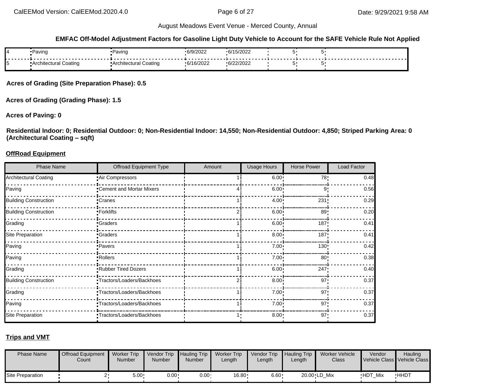#### **EMFAC Off-Model Adjustment Factors for Gasoline Light Duty Vehicle to Account for the SAFE Vehicle Rule Not Applied**

| 84 | •Paving                | •Paving                | 6/9/2022             | C/4E/20022<br>∠∪∠וכ      |  |  |
|----|------------------------|------------------------|----------------------|--------------------------|--|--|
| 15 | ■Architectural Coating | ■Architectural Coating | 0.0100000<br>10/2022 | (6/22/2022)<br>0/22/2022 |  |  |

**Acres of Grading (Site Preparation Phase): 0.5**

**Acres of Grading (Grading Phase): 1.5**

#### **Acres of Paving: 0**

**Residential Indoor: 0; Residential Outdoor: 0; Non-Residential Indoor: 14,550; Non-Residential Outdoor: 4,850; Striped Parking Area: 0 (Architectural Coating – sqft)**

#### **OffRoad Equipment**

| <b>Phase Name</b>            | Offroad Equipment Type     | Amount | <b>Usage Hours</b> | Horse Power      | Load Factor |
|------------------------------|----------------------------|--------|--------------------|------------------|-------------|
| <b>Architectural Coating</b> | Air Compressors            |        | 6.00:              | 78               | 0.48        |
| Paving                       | -Cement and Mortar Mixers  |        | 6.00               | 9                | 0.56        |
| <b>Building Construction</b> | -Cranes                    |        | $4.00 \cdot$       | 231              | 0.29        |
| <b>Building Construction</b> | -Forklifts                 |        | 6.00               | 89               | 0.20        |
| Grading                      | -Graders                   |        | 6.00               | 187              | 0.41        |
| Site Preparation             | <b>Craders</b>             |        | 8.00               | 187 <sub>1</sub> | 0.41        |
| Paving                       | Pavers                     |        | 7.00:              | 130 <sub>1</sub> | 0.42        |
| Paving                       | Rollers                    |        | $7.00 \cdot$       | 80               | 0.38        |
| Grading                      | Rubber Tired Dozers        |        | 6.00               | 247              | 0.40        |
| <b>Building Construction</b> | -Tractors/Loaders/Backhoes |        | 8.00               | 97'              | 0.37        |
| Grading                      | -Tractors/Loaders/Backhoes |        | 7.00               | 97'              | 0.37        |
| Paving                       | -Tractors/Loaders/Backhoes |        | $7.00 \cdot$       | 97'              | 0.37        |
| Site Preparation             | -Tractors/Loaders/Backhoes |        | 8.00:              | $97 -$           | 0.37        |

#### **Trips and VMT**

| <b>Phase Name</b> | <b>Offroad Equipment</b><br>Count | <b>Worker Trip</b><br><b>Number</b> | Vendor Trip Hauling Trip<br>Number | <b>Number</b> | <b>Worker Trip</b><br>Length | Vendor Trip<br>Length | Hauling Trip<br>∟ength | Worker Vehicle<br>Class | Vendor<br>Vehicle Class Vehicle Class | Hauling     |
|-------------------|-----------------------------------|-------------------------------------|------------------------------------|---------------|------------------------------|-----------------------|------------------------|-------------------------|---------------------------------------|-------------|
| Site Preparation  |                                   | $5.00 -$                            | $0.00 \cdot$                       | $0.00 \cdot$  | 16.80                        | $6.60 \cdot$          |                        | 20.00 LD Mix            | HDT_Mix                               | <b>HHDT</b> |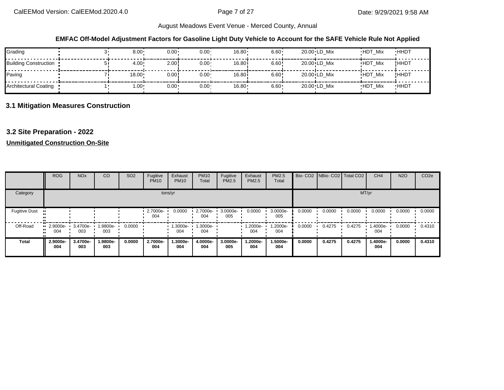### **EMFAC Off-Model Adjustment Factors for Gasoline Light Duty Vehicle to Account for the SAFE Vehicle Rule Not Applied**

| Grading                 | $8.00 -$      | $0.00 \cdot$ | $0.00 -$     | $16.80 \cdot$ | $6.60 -$ | 20.00 LD Mix                             | <b>HDT Mix</b> | <b>HHDT</b> |
|-------------------------|---------------|--------------|--------------|---------------|----------|------------------------------------------|----------------|-------------|
| Building Construction • | $4.00 \cdot$  | 2.00!        | $0.00 -$     | 16.80i        | 6.60!    | $20.00$ <sup><math>i</math></sup> LD Mix | <b>HDT Mix</b> | !HHDT       |
| Paving                  | $18.00 \cdot$ | 0.00!        | $0.00 \cdot$ | 16.80i        | 6.60!    | $20.00$ <sup><math>i</math></sup> LD Mix | <b>HDT Mix</b> | !HHDT       |
| Architectural Coating   | $1.00 \cdot$  | $0.00 \cdot$ | $0.00 \cdot$ | 16.80         | 6.60     | 20.00 LD Mix                             | <b>HDT Mix</b> | <b>HHDT</b> |

# **3.1 Mitigation Measures Construction**

# **3.2 Site Preparation - 2022**

#### **Unmitigated Construction On-Site**

|                      | <b>ROG</b>              | <b>NO<sub>x</sub></b> | CO              | SO <sub>2</sub> | Fugitive<br><b>PM10</b> | Exhaust<br><b>PM10</b> | <b>PM10</b><br>Total | Fugitive<br>PM2.5 | Exhaust<br><b>PM2.5</b> | PM2.5<br>Total  |        | Bio- CO2   NBio- CO2   Total CO2 |        | CH <sub>4</sub> | <b>N2O</b> | CO <sub>2e</sub> |
|----------------------|-------------------------|-----------------------|-----------------|-----------------|-------------------------|------------------------|----------------------|-------------------|-------------------------|-----------------|--------|----------------------------------|--------|-----------------|------------|------------------|
| Category             |                         |                       |                 |                 |                         | tons/yr                |                      |                   |                         |                 |        |                                  |        | MT/yr           |            |                  |
| <b>Fugitive Dust</b> |                         |                       |                 |                 | 2.7000e-<br>004         | 0.0000                 | 2.7000e-<br>004      | 3.0000e-<br>005   | 0.0000                  | 3.0000e-<br>005 | 0.0000 | 0.0000                           | 0.0000 | 0.0000          | 0.0000     | 0.0000           |
| Off-Road             | $\cdot$ 2.9000e-<br>004 | 3.4700e-<br>003       | 1.9800e-<br>003 | 0.0000          |                         | 1.3000e-<br>004        | 1.3000e-<br>004      |                   | 1.2000e-<br>004         | 1.2000e-<br>004 | 0.0000 | 0.4275                           | 0.4275 | 1.4000e-<br>004 | 0.0000     | 0.4310           |
| <b>Total</b>         | 2.9000e-<br>004         | 3.4700e-<br>003       | 1.9800e-<br>003 | 0.0000          | 2.7000e-<br>004         | 1.3000e-<br>004        | 4.0000e-<br>004      | 3.0000e-<br>005   | -2000e.<br>004          | 1.5000e-<br>004 | 0.0000 | 0.4275                           | 0.4275 | 1.4000e-<br>004 | 0.0000     | 0.4310           |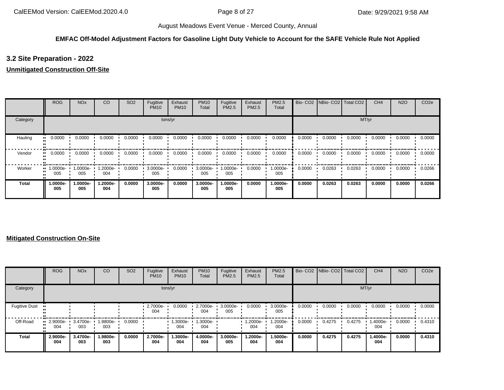## **EMFAC Off-Model Adjustment Factors for Gasoline Light Duty Vehicle to Account for the SAFE Vehicle Rule Not Applied**

# **3.2 Site Preparation - 2022**

#### **Unmitigated Construction Off-Site**

|              | <b>ROG</b>      | <b>NO<sub>x</sub></b> | CO              | SO <sub>2</sub> | Fugitive<br><b>PM10</b> | Exhaust<br><b>PM10</b> | <b>PM10</b><br>Total | Fugitive<br>PM2.5 | Exhaust<br>PM2.5 | PM2.5<br>Total  | Bio-CO <sub>2</sub> | NBio-CO2   Total CO2 |        | CH <sub>4</sub> | <b>N2O</b> | CO <sub>2e</sub> |
|--------------|-----------------|-----------------------|-----------------|-----------------|-------------------------|------------------------|----------------------|-------------------|------------------|-----------------|---------------------|----------------------|--------|-----------------|------------|------------------|
| Category     |                 |                       |                 |                 |                         | tons/yr                |                      |                   |                  |                 |                     |                      | MT/yr  |                 |            |                  |
| Hauling      | 0.0000          | 0.0000                | 0.0000          | 0.0000          | 0.0000                  | 0.0000                 | 0.0000               | 0.0000            | 0.0000           | 0.0000          | 0.0000              | 0.0000               | 0.0000 | 0.0000          | 0.0000     | 0.0000           |
| Vendor       | 0.0000          | 0.0000                | 0.0000          | 0.0000          | 0.0000                  | 0.0000                 | 0.0000               | 0.0000            | 0.0000           | 0.0000          | 0.0000              | 0.0000               | 0.0000 | 0.0000          | 0.0000     | 0.0000           |
| Worker       | 1.0000e-<br>005 | 1.0000e-<br>005       | 1.2000e-<br>004 | 0.0000          | 3.0000e-<br>005         | 0.0000                 | 3.0000e-<br>005      | 1.0000e-<br>005   | 0.0000           | 1.0000e-<br>005 | 0.0000              | 0.0263               | 0.0263 | 0.0000          | 0.0000     | 0.0266           |
| <b>Total</b> | 1.0000e-<br>005 | 1.0000e-<br>005       | -.2000e<br>004  | 0.0000          | 3.0000e-<br>005         | 0.0000                 | 3.0000e-<br>005      | 1.0000e-<br>005   | 0.0000           | 1.0000e-<br>005 | 0.0000              | 0.0263               | 0.0263 | 0.0000          | 0.0000     | 0.0266           |

#### **Mitigated Construction On-Site**

|                      | <b>ROG</b>                  | <b>NO<sub>x</sub></b> | CO              | SO <sub>2</sub> | Fugitive<br><b>PM10</b> | Exhaust<br><b>PM10</b> | <b>PM10</b><br>Total | Fugitive<br><b>PM2.5</b> | Exhaust<br>PM2.5 | PM2.5<br>Total  |        | Bio- CO2   NBio- CO2   Total CO2 |        | CH <sub>4</sub> | <b>N2O</b> | CO <sub>2e</sub> |
|----------------------|-----------------------------|-----------------------|-----------------|-----------------|-------------------------|------------------------|----------------------|--------------------------|------------------|-----------------|--------|----------------------------------|--------|-----------------|------------|------------------|
| Category             |                             |                       |                 |                 |                         | tons/yr                |                      |                          |                  |                 |        |                                  | MT/yr  |                 |            |                  |
| <b>Fugitive Dust</b> |                             |                       |                 |                 | 2.7000e-<br>004         | 0.0000                 | 2.7000e-<br>004      | 3.0000e-<br>005          | 0.0000           | 3.0000e-<br>005 | 0.0000 | 0.0000                           | 0.0000 | 0.0000          | 0.0000     | 0.0000           |
| Off-Road             | $\cdot$ 2.9000e-<br><br>004 | 3.4700e-<br>003       | 1.9800e-<br>003 | 0.0000          |                         | 1.3000e-<br>004        | 1.3000e-<br>004      |                          | .2000e-<br>004   | 1.2000e-<br>004 | 0.0000 | 0.4275                           | 0.4275 | 1.4000e-<br>004 | 0.0000     | 0.4310           |
| Total                | 2.9000e-<br>004             | 3.4700e-<br>003       | 1.9800e-<br>003 | 0.0000          | 2.7000e-<br>004         | 1.3000e-<br>004        | 4.0000e-<br>004      | 3.0000e-<br>005          | -2000e.l<br>004  | 1.5000e-<br>004 | 0.0000 | 0.4275                           | 0.4275 | 1.4000e-<br>004 | 0.0000     | 0.4310           |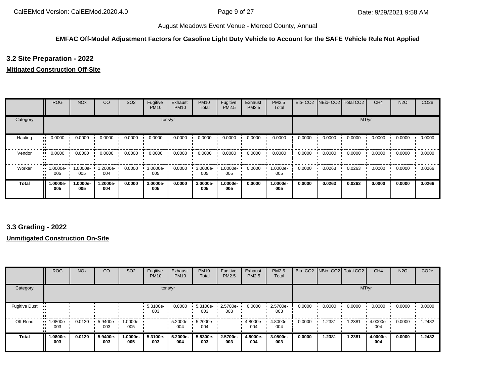## **EMFAC Off-Model Adjustment Factors for Gasoline Light Duty Vehicle to Account for the SAFE Vehicle Rule Not Applied**

# **3.2 Site Preparation - 2022**

#### **Mitigated Construction Off-Site**

|          | <b>ROG</b>                     | <b>NO<sub>x</sub></b> | CO              | SO <sub>2</sub> | Fugitive<br><b>PM10</b> | Exhaust<br><b>PM10</b> | <b>PM10</b><br>Total | Fugitive<br>PM2.5 | Exhaust<br>PM2.5 | PM2.5<br>Total  |        | Bio- CO2   NBio- CO2   Total CO2 |        | CH <sub>4</sub> | <b>N2O</b> | CO <sub>2e</sub> |
|----------|--------------------------------|-----------------------|-----------------|-----------------|-------------------------|------------------------|----------------------|-------------------|------------------|-----------------|--------|----------------------------------|--------|-----------------|------------|------------------|
| Category |                                |                       |                 |                 |                         | tons/yr                |                      |                   |                  |                 |        |                                  | MT/yr  |                 |            |                  |
| Hauling  | 0.0000<br>                     | 0.0000                | 0.0000          | 0.0000          | 0.0000                  | 0.0000                 | 0.0000               | 0.0000            | 0.0000           | 0.0000          | 0.0000 | 0.0000                           | 0.0000 | 0.0000          | 0.0000     | 0.0000           |
| Vendor   | 0.0000<br>                     | 0.0000                | 0.0000          | 0.0000          | 0.0000                  | 0.0000                 | 0.0000               | 0.0000            | 0.0000           | 0.0000          | 0.0000 | 0.0000                           | 0.0000 | 0.0000          | 0.0000     | 0.0000           |
| Worker   | $\blacksquare$ 1.0000e-<br>005 | 1.0000e-<br>005       | -2000e.<br>004  | 0.0000          | 3.0000e-<br>005         | 0.0000                 | 3.0000e-<br>005      | 1.0000e-<br>005   | 0.0000           | 1.0000e-<br>005 | 0.0000 | 0.0263                           | 0.0263 | 0.0000          | 0.0000     | 0.0266           |
| Total    | 1.0000e-<br>005                | 1.0000e-<br>005       | 1.2000e-<br>004 | 0.0000          | 3.0000e-<br>005         | 0.0000                 | 3.0000e-<br>005      | 1.0000e-<br>005   | 0.0000           | 1.0000e-<br>005 | 0.0000 | 0.0263                           | 0.0263 | 0.0000          | 0.0000     | 0.0266           |

# **3.3 Grading - 2022**

#### **Unmitigated Construction On-Site**

|                      | <b>ROG</b>      | <b>NO<sub>x</sub></b> | CO              | SO <sub>2</sub> | Fugitive<br><b>PM10</b> | Exhaust<br><b>PM10</b> | <b>PM10</b><br>Total | Fugitive<br>PM2.5 | Exhaust<br>PM2.5 | PM2.5<br>Total  | Bio-CO <sub>2</sub> | NBio- CO2   Total CO2 |        | CH <sub>4</sub> | <b>N2O</b> | CO <sub>2e</sub> |
|----------------------|-----------------|-----------------------|-----------------|-----------------|-------------------------|------------------------|----------------------|-------------------|------------------|-----------------|---------------------|-----------------------|--------|-----------------|------------|------------------|
| Category             |                 |                       |                 |                 |                         | tons/yr                |                      |                   |                  |                 |                     |                       | MT/yr  |                 |            |                  |
| <b>Fugitive Dust</b> |                 |                       |                 |                 | 5.3100e-<br>003         | 0.0000                 | 5.3100e-<br>003      | 2.5700e-<br>003   | 0.0000           | 2.5700e-<br>003 | 0.0000              | 0.0000                | 0.0000 | 0.0000          | 0.0000     | 0.0000           |
| Off-Road             | 1.0800e-<br>003 | 0.0120                | 5.9400e-<br>003 | 1.0000e-<br>005 |                         | 5.2000e-<br>004        | 5.2000e-<br>004      |                   | 4.8000e-<br>004  | 4.8000e-<br>004 | 0.0000              | 1.2381                | 1.2381 | 4.0000e-<br>004 | 0.0000     | 1.2482           |
| <b>Total</b>         | 1.0800e-<br>003 | 0.0120                | 5.9400e-<br>003 | 1.0000e-<br>005 | 5.3100e-<br>003         | 5.2000e-<br>004        | 5.8300e-<br>003      | 2.5700e-<br>003   | 4.8000e-<br>004  | 3.0500e-<br>003 | 0.0000              | 1.2381                | 1.2381 | 4.0000e-<br>004 | 0.0000     | 1.2482           |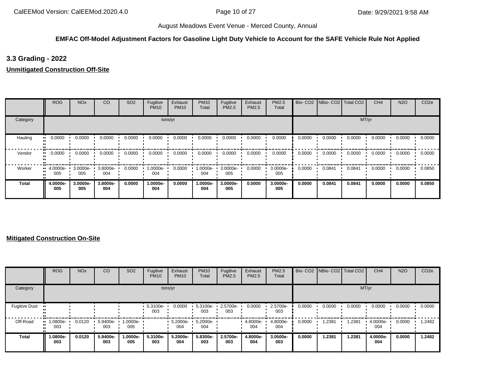## **EMFAC Off-Model Adjustment Factors for Gasoline Light Duty Vehicle to Account for the SAFE Vehicle Rule Not Applied**

# **3.3 Grading - 2022**

**Unmitigated Construction Off-Site**

|          | <b>ROG</b>                     | <b>NO<sub>x</sub></b> | CO              | SO <sub>2</sub> | Fugitive<br><b>PM10</b> | Exhaust<br><b>PM10</b> | <b>PM10</b><br>Total | Fugitive<br>PM2.5 | Exhaust<br>PM2.5 | PM2.5<br>Total  |        | Bio- CO2   NBio- CO2   Total CO2 |        | CH <sub>4</sub> | <b>N2O</b> | CO <sub>2e</sub> |
|----------|--------------------------------|-----------------------|-----------------|-----------------|-------------------------|------------------------|----------------------|-------------------|------------------|-----------------|--------|----------------------------------|--------|-----------------|------------|------------------|
| Category |                                |                       |                 |                 |                         | tons/yr                |                      |                   |                  |                 |        |                                  |        | MT/yr           |            |                  |
| Hauling  | 0.0000                         | 0.0000                | 0.0000          | 0.0000          | 0.0000                  | 0.0000                 | 0.0000               | 0.0000            | 0.0000           | 0.0000          | 0.0000 | 0.0000                           | 0.0000 | 0.0000          | 0.0000     | 0.0000           |
| Vendor   | 0.0000<br>                     | 0.0000                | 0.0000          | 0.0000          | 0.0000                  | 0.0000                 | 0.0000               | 0.0000            | 0.0000           | 0.0000          | 0.0000 | 0.0000                           | 0.0000 | 0.0000          | 0.0000     | 0.0000           |
| Worker   | $\blacksquare$ 4.0000e-<br>005 | 3.0000e-<br>005       | 3.8000e-<br>004 | 0.0000          | 1.0000e-<br>004         | 0.0000                 | 1.0000e-<br>004      | 3.0000e-<br>005   | 0.0000           | 3.0000e-<br>005 | 0.0000 | 0.0841                           | 0.0841 | 0.0000          | 0.0000     | 0.0850           |
| Total    | 4.0000e-<br>005                | 3.0000e-<br>005       | 3.8000e-<br>004 | 0.0000          | 1.0000e-<br>004         | 0.0000                 | 1.0000e-<br>004      | 3.0000e-<br>005   | 0.0000           | 3.0000e-<br>005 | 0.0000 | 0.0841                           | 0.0841 | 0.0000          | 0.0000     | 0.0850           |

#### **Mitigated Construction On-Site**

|                      | <b>ROG</b>              | <b>NO<sub>x</sub></b> | CO              | SO <sub>2</sub> | Fugitive<br><b>PM10</b> | Exhaust<br><b>PM10</b> | <b>PM10</b><br>Total | Fugitive<br><b>PM2.5</b> | Exhaust<br>PM2.5 | PM2.5<br>Total  |        | Bio- CO2   NBio- CO2   Total CO2 |        | CH <sub>4</sub> | <b>N2O</b> | CO <sub>2e</sub> |
|----------------------|-------------------------|-----------------------|-----------------|-----------------|-------------------------|------------------------|----------------------|--------------------------|------------------|-----------------|--------|----------------------------------|--------|-----------------|------------|------------------|
| Category             |                         |                       |                 |                 |                         | tons/yr                |                      |                          |                  |                 |        |                                  | MT/yr  |                 |            |                  |
| <b>Fugitive Dust</b> |                         |                       |                 |                 | 5.3100e-<br>003         | 0.0000                 | 5.3100e-<br>003      | 2.5700e-<br>003          | 0.0000           | 2.5700e-<br>003 | 0.0000 | 0.0000                           | 0.0000 | 0.0000          | 0.0000     | 0.0000           |
| Off-Road             | 1.0800e-<br><br><br>003 | 0.0120                | 5.9400e-<br>003 | l.0000e-<br>005 |                         | 5.2000e-<br>004        | 5.2000e-<br>004      |                          | 4.8000e-<br>004  | 4.8000e-<br>004 | 0.0000 | .2381                            | 1.2381 | 4.0000e-<br>004 | 0.0000     | 1.2482           |
| Total                | 1.0800e-<br>003         | 0.0120                | 5.9400e-<br>003 | -.0000e<br>005  | 5.3100e-<br>003         | 5.2000e-<br>004        | 5.8300e-<br>003      | 2.5700e-<br>003          | 4.8000e-<br>004  | 3.0500e-<br>003 | 0.0000 | 1.2381                           | 1.2381 | 4.0000e-<br>004 | 0.0000     | 1.2482           |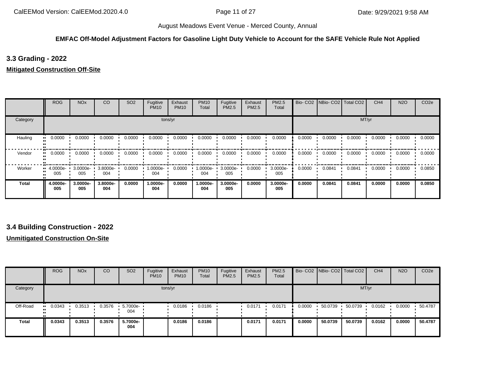#### **EMFAC Off-Model Adjustment Factors for Gasoline Light Duty Vehicle to Account for the SAFE Vehicle Rule Not Applied**

# **3.3 Grading - 2022**

#### **Mitigated Construction Off-Site**

|          | <b>ROG</b>                     | <b>NO<sub>x</sub></b> | CO              | SO <sub>2</sub> | Fugitive<br><b>PM10</b> | Exhaust<br><b>PM10</b> | <b>PM10</b><br>Total | Fugitive<br>PM2.5 | Exhaust<br><b>PM2.5</b> | <b>PM2.5</b><br>Total |        | Bio- CO2 NBio- CO2 Total CO2 |        | CH <sub>4</sub> | <b>N2O</b> | CO <sub>2e</sub> |
|----------|--------------------------------|-----------------------|-----------------|-----------------|-------------------------|------------------------|----------------------|-------------------|-------------------------|-----------------------|--------|------------------------------|--------|-----------------|------------|------------------|
| Category |                                |                       |                 |                 | tons/yr                 |                        |                      |                   |                         |                       |        |                              | MT/yr  |                 |            |                  |
| Hauling  | 0.0000<br>                     | 0.0000                | 0.0000          | 0.0000          | 0.0000                  | 0.0000                 | 0.0000               | 0.0000            | 0.0000                  | 0.0000                | 0.0000 | 0.0000                       | 0.0000 | 0.0000          | 0.0000     | 0.0000           |
| Vendor   | 0.0000<br>                     | 0.0000                | 0.0000          | 0.0000          | 0.0000                  | 0.0000                 | 0.0000               | 0.0000            | 0.0000                  | 0.0000                | 0.0000 | 0.0000                       | 0.0000 | 0.0000          | 0.0000     | 0.0000           |
| Worker   | $\blacksquare$ 4.0000e-<br>005 | 3.0000e ·<br>005      | 3.8000e-<br>004 | 0.0000          | -:0000e<br>004          | 0.0000                 | 1.0000e-<br>004      | 3.0000e-<br>005   | 0.0000                  | 3.0000e-<br>005       | 0.0000 | 0.0841                       | 0.0841 | 0.0000          | 0.0000     | 0.0850           |
| Total    | 4.0000e-<br>005                | 3.0000e-<br>005       | 3.8000e-<br>004 | 0.0000          | 1.0000e-<br>004         | 0.0000                 | 1.0000e-<br>004      | 3.0000e-<br>005   | 0.0000                  | 3.0000e-<br>005       | 0.0000 | 0.0841                       | 0.0841 | 0.0000          | 0.0000     | 0.0850           |

# **3.4 Building Construction - 2022**

#### **Unmitigated Construction On-Site**

|              | <b>ROG</b> | <b>NO<sub>x</sub></b> | CO     | SO <sub>2</sub>   | Fugitive<br><b>PM10</b> | Exhaust<br><b>PM10</b> | <b>PM10</b><br>Total | Fugitive<br>PM2.5 | Exhaust<br><b>PM2.5</b> | <b>PM2.5</b><br>Total |        | Bio- CO2 NBio- CO2 Total CO2 |         | CH <sub>4</sub> | <b>N2O</b> | CO <sub>2e</sub> |
|--------------|------------|-----------------------|--------|-------------------|-------------------------|------------------------|----------------------|-------------------|-------------------------|-----------------------|--------|------------------------------|---------|-----------------|------------|------------------|
| Category     |            |                       |        |                   |                         | tons/yr                |                      |                   |                         |                       |        |                              |         | MT/yr           |            |                  |
| Off-Road     | 0.0343<br> | 0.3513                | 0.3576 | 5.7000e- •<br>004 |                         | 0.0186                 | 0.0186               |                   | 0.0171                  | 0.0171                | 0.0000 | 50.0739                      | 50.0739 | 0.0162          | 0.0000     | 50.4787          |
| <b>Total</b> | 0.0343     | 0.3513                | 0.3576 | 5.7000e-<br>004   |                         | 0.0186                 | 0.0186               |                   | 0.0171                  | 0.0171                | 0.0000 | 50.0739                      | 50.0739 | 0.0162          | 0.0000     | 50.4787          |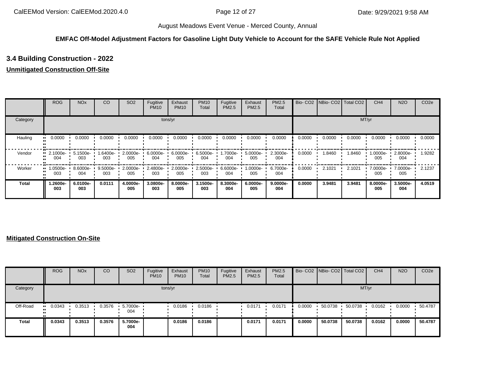#### **EMFAC Off-Model Adjustment Factors for Gasoline Light Duty Vehicle to Account for the SAFE Vehicle Rule Not Applied**

# **3.4 Building Construction - 2022**

# **Unmitigated Construction Off-Site**

|              | <b>ROG</b>                     | NO <sub>x</sub>    | CO              | SO <sub>2</sub> | Fugitive<br><b>PM10</b> | Exhaust<br><b>PM10</b> | <b>PM10</b><br>Total | Fugitive<br>PM2.5 | Exhaust<br>PM2.5 | PM2.5<br>Total  |        | Bio- CO2 NBio- CO2 Total CO2 |        | CH <sub>4</sub> | <b>N2O</b>         | CO <sub>2e</sub> |
|--------------|--------------------------------|--------------------|-----------------|-----------------|-------------------------|------------------------|----------------------|-------------------|------------------|-----------------|--------|------------------------------|--------|-----------------|--------------------|------------------|
| Category     |                                |                    |                 |                 |                         | tons/yr                |                      |                   |                  |                 |        |                              |        | MT/yr           |                    |                  |
| Hauling      | 0.0000                         | 0.0000             | 0.0000          | 0.0000          | 0.0000                  | 0.0000                 | 0.0000               | 0.0000            | 0.0000           | 0.0000          | 0.0000 | 0.0000                       | 0.0000 | 0.0000          | 0.0000             | 0.0000           |
| Vendor       | $\blacksquare$ 2.1000e-<br>004 | $5.1500e -$<br>003 | -6400e-<br>003  | 2.0000e-<br>005 | $6.0000e -$<br>004      | 6.0000e-<br>005        | 6.5000e-<br>004      | 1.7000e-<br>004   | 5.0000e-<br>005  | 2.3000e-<br>004 | 0.0000 | 1.8460                       | 1.8460 | 1.0000e-<br>005 | $2.8000e -$<br>004 | 1.9282           |
| Worker       | 1.0500e-<br><br>003            | 8.6000e-<br>004    | 9.5000e-<br>003 | 2.0000e-<br>005 | 2.4800e-<br>003         | 2.0000e-<br>005        | 2.5000e-<br>003      | 6.6000e-<br>004   | 1.0000e-<br>005  | 6.7000e-<br>004 | 0.0000 | 2.1021                       | 2.1021 | 7.0000e-<br>005 | 7.0000e- ·<br>005  | 2.1237           |
| <b>Total</b> | 1.2600e-<br>003                | 6.0100e-<br>003    | 0.0111          | 4.0000e-<br>005 | 3.0800e-<br>003         | 8.0000e-<br>005        | 3.1500e-<br>003      | 8.3000e-<br>004   | 6.0000e-<br>005  | 9.0000e-<br>004 | 0.0000 | 3.9481                       | 3.9481 | 8.0000e-<br>005 | 3.5000e-<br>004    | 4.0519           |

#### **Mitigated Construction On-Site**

|          | <b>ROG</b>            | <b>NO<sub>x</sub></b> | CO     | SO <sub>2</sub> | Fugitive<br><b>PM10</b> | Exhaust<br><b>PM10</b> | <b>PM10</b><br>Total | Fugitive<br>PM2.5 | Exhaust<br><b>PM2.5</b> | <b>PM2.5</b><br>Total |        | Bio- CO2   NBio- CO2   Total CO2 |         | CH <sub>4</sub> | <b>N2O</b> | CO <sub>2e</sub> |
|----------|-----------------------|-----------------------|--------|-----------------|-------------------------|------------------------|----------------------|-------------------|-------------------------|-----------------------|--------|----------------------------------|---------|-----------------|------------|------------------|
| Category |                       |                       |        |                 | tons/yr                 |                        |                      |                   |                         |                       |        |                                  | MT/yr   |                 |            |                  |
| Off-Road | $\blacksquare$ 0.0343 | 0.3513                | 0.3576 | 5.7000e-<br>004 |                         | 0.0186                 | 0.0186               |                   | 0.0171                  | 0.0171                | 0.0000 | 50.0738                          | 50.0738 | 0.0162          | 0.0000     | 50.4787          |
| Total    | 0.0343                | 0.3513                | 0.3576 | 5.7000e-<br>004 |                         | 0.0186                 | 0.0186               |                   | 0.0171                  | 0.0171                | 0.0000 | 50.0738                          | 50.0738 | 0.0162          | 0.0000     | 50.4787          |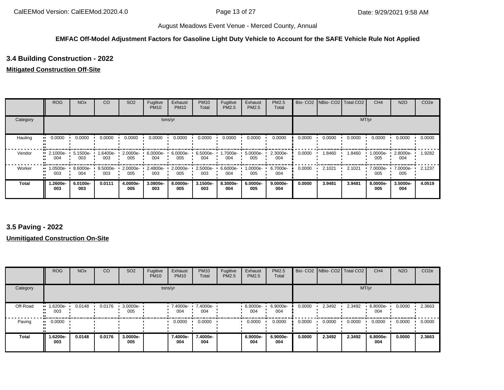#### **EMFAC Off-Model Adjustment Factors for Gasoline Light Duty Vehicle to Account for the SAFE Vehicle Rule Not Applied**

# **3.4 Building Construction - 2022**

#### **Mitigated Construction Off-Site**

|              | <b>ROG</b>                     | <b>NO<sub>x</sub></b> | CO                 | SO <sub>2</sub> | Fugitive<br><b>PM10</b> | Exhaust<br><b>PM10</b> | <b>PM10</b><br>Total | Fugitive<br><b>PM2.5</b> | Exhaust<br>PM2.5 | PM2.5<br>Total  |        | Bio- CO2 NBio- CO2 Total CO2 |        | CH <sub>4</sub> | <b>N2O</b>         | CO <sub>2e</sub> |
|--------------|--------------------------------|-----------------------|--------------------|-----------------|-------------------------|------------------------|----------------------|--------------------------|------------------|-----------------|--------|------------------------------|--------|-----------------|--------------------|------------------|
| Category     |                                |                       |                    |                 |                         | tons/yr                |                      |                          |                  |                 |        |                              |        | MT/yr           |                    |                  |
| Hauling      | 0.0000                         | 0.0000                | 0.0000             | 0.0000          | 0.0000                  | 0.0000                 | 0.0000               | 0.0000                   | 0.0000           | 0.0000          | 0.0000 | 0.0000                       | 0.0000 | 0.0000          | 0.0000             | 0.0000           |
| Vendor       | $\blacksquare$ 2.1000e-<br>004 | $5.1500e -$<br>003    | 1.6400e-<br>003    | 2.0000e-<br>005 | $6.0000e -$<br>004      | $6.0000e-$<br>005      | 6.5000e-<br>004      | -7000e.<br>004           | 5.0000e-<br>005  | 2.3000e-<br>004 | 0.0000 | 1.8460                       | 1.8460 | 1.0000e-<br>005 | $2.8000e -$<br>004 | 1.9282           |
| Worker       | 1.0500e-<br>003                | 8.6000e-<br>004       | $9.5000e -$<br>003 | 2.0000e-<br>005 | 2.4800e-<br>003         | 2.0000e-<br>005        | 2.5000e-<br>003      | 6.6000e-<br>004          | 1.0000e-<br>005  | 6.7000e-<br>004 | 0.0000 | 2.1021                       | 2.1021 | 7.0000e-<br>005 | 7.0000e-<br>005    | 2.1237           |
| <b>Total</b> | -2600e.<br>003                 | 6.0100e-<br>003       | 0.0111             | 4.0000e-<br>005 | 3.0800e-<br>003         | 8.0000e-<br>005        | $3.1500e -$<br>003   | 8.3000e-<br>004          | 6.0000e-<br>005  | 9.0000e-<br>004 | 0.0000 | 3.9481                       | 3.9481 | 8.0000e-<br>005 | 3.5000e-<br>004    | 4.0519           |

# **3.5 Paving - 2022**

#### **Unmitigated Construction On-Site**

|              | <b>ROG</b>                     | <b>NO<sub>x</sub></b> | CO     | SO <sub>2</sub>    | Fugitive<br><b>PM10</b> | Exhaust<br><b>PM10</b> | <b>PM10</b><br>Total | Fugitive<br>PM2.5 | Exhaust<br><b>PM2.5</b> | PM2.5<br>Total  |        | Bio- CO2   NBio- CO2   Total CO2 |        | CH <sub>4</sub> | <b>N2O</b> | CO <sub>2e</sub> |
|--------------|--------------------------------|-----------------------|--------|--------------------|-------------------------|------------------------|----------------------|-------------------|-------------------------|-----------------|--------|----------------------------------|--------|-----------------|------------|------------------|
| Category     |                                |                       |        |                    |                         | tons/yr                |                      |                   |                         |                 |        |                                  | MT/yr  |                 |            |                  |
| Off-Road     | $\blacksquare$ 1.6200e-<br>003 | 0.0148                | 0.0176 | $3.0000e -$<br>005 |                         | 7.4000e-<br>004        | 7.4000e-<br>004      |                   | 6.9000e-<br>004         | 6.9000e-<br>004 | 0.0000 | 2.3492                           | 2.3492 | 6.8000e-<br>004 | 0.0000     | 2.3663           |
| Paving       | 0.0000<br>                     |                       |        |                    |                         | 0.0000                 | 0.0000               |                   | 0.0000                  | 0.0000          | 0.0000 | 0.0000                           | 0.0000 | 0.0000          | 0.0000     | 0.0000           |
| <b>Total</b> | 1.6200e-<br>003                | 0.0148                | 0.0176 | 3.0000e-<br>005    |                         | 7.4000e-<br>004        | 7.4000e-<br>004      |                   | 6.9000e-<br>004         | 6.9000e-<br>004 | 0.0000 | 2.3492                           | 2.3492 | 6.8000e-<br>004 | 0.0000     | 2.3663           |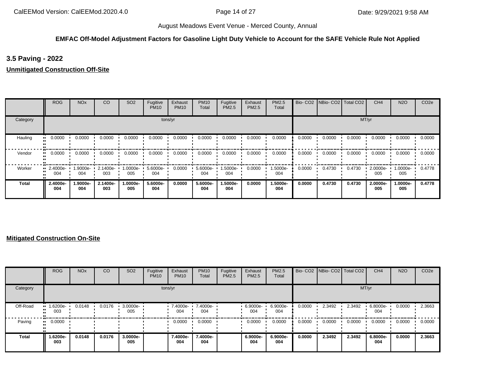## **EMFAC Off-Model Adjustment Factors for Gasoline Light Duty Vehicle to Account for the SAFE Vehicle Rule Not Applied**

# **3.5 Paving - 2022**

#### **Unmitigated Construction Off-Site**

|              | <b>ROG</b>      | <b>NO<sub>x</sub></b> | CO              | SO <sub>2</sub> | Fugitive<br><b>PM10</b> | Exhaust<br><b>PM10</b> | <b>PM10</b><br>Total | Fugitive<br>PM2.5 | Exhaust<br>PM2.5 | PM2.5<br>Total  | Bio-CO <sub>2</sub> | NBio-CO2   Total CO2 |        | CH <sub>4</sub> | <b>N2O</b>      | CO <sub>2e</sub> |
|--------------|-----------------|-----------------------|-----------------|-----------------|-------------------------|------------------------|----------------------|-------------------|------------------|-----------------|---------------------|----------------------|--------|-----------------|-----------------|------------------|
| Category     |                 |                       |                 |                 |                         | tons/yr                |                      |                   |                  |                 |                     |                      | MT/yr  |                 |                 |                  |
| Hauling      | 0.0000          | 0.0000                | 0.0000          | 0.0000          | 0.0000                  | 0.0000                 | 0.0000               | 0.0000            | 0.0000           | 0.0000          | 0.0000              | 0.0000               | 0.0000 | 0.0000          | 0.0000          | 0.0000           |
| Vendor       | 0.0000          | 0.0000                | 0.0000          | 0.0000          | 0.0000                  | 0.0000                 | 0.0000               | 0.0000            | 0.0000           | 0.0000          | 0.0000              | 0.0000               | 0.0000 | 0.0000          | 0.0000          | 0.0000           |
| Worker       | 2.4000e-<br>004 | 1.9000e-<br>004       | 2.1400e-<br>003 | --0000e<br>005  | 5.6000e-<br>004         | 0.0000                 | 5.6000e-<br>004      | 1.5000e-<br>004   | 0.0000           | 1.5000e-<br>004 | 0.0000              | 0.4730               | 0.4730 | 2.0000e-<br>005 | 1.0000e-<br>005 | 0.4778           |
| <b>Total</b> | 2.4000e-<br>004 | 1.9000e-<br>004       | 2.1400e-<br>003 | 1.0000e-<br>005 | 5.6000e-<br>004         | 0.0000                 | 5.6000e-<br>004      | 1.5000e-<br>004   | 0.0000           | 1.5000e-<br>004 | 0.0000              | 0.4730               | 0.4730 | 2.0000e-<br>005 | 1.0000e-<br>005 | 0.4778           |

#### **Mitigated Construction On-Site**

|              | <b>ROG</b>                     | <b>NO<sub>x</sub></b> | CO     | SO <sub>2</sub> | Fugitive<br><b>PM10</b> | Exhaust<br><b>PM10</b> | <b>PM10</b><br>Total | Fugitive<br>PM2.5 | Exhaust<br><b>PM2.5</b> | PM2.5<br>Total  |        | Bio- CO2   NBio- CO2   Total CO2 |        | CH <sub>4</sub> | <b>N2O</b> | CO <sub>2e</sub> |
|--------------|--------------------------------|-----------------------|--------|-----------------|-------------------------|------------------------|----------------------|-------------------|-------------------------|-----------------|--------|----------------------------------|--------|-----------------|------------|------------------|
| Category     |                                |                       |        |                 |                         | tons/yr                |                      |                   |                         |                 |        |                                  | MT/yr  |                 |            |                  |
| Off-Road     | $\blacksquare$ 1.6200e-<br>003 | 0.0148                | 0.0176 | 3.0000e-<br>005 |                         | 7.4000e-<br>004        | 7.4000e-<br>004      |                   | 6.9000e-<br>004         | 6.9000e-<br>004 | 0.0000 | 2.3492                           | 2.3492 | 6.8000e-<br>004 | 0.0000     | 2.3663           |
| Paving       | $\blacksquare$ 0.0000          |                       |        |                 |                         | 0.0000                 | 0.0000               |                   | 0.0000                  | 0.0000          | 0.0000 | 0.0000                           | 0.0000 | 0.0000          | 0.0000     | 0.0000           |
| <b>Total</b> | 1.6200e-<br>003                | 0.0148                | 0.0176 | 3.0000e-<br>005 |                         | 7.4000e-<br>004        | 7.4000e-<br>004      |                   | 6.9000e-<br>004         | 6.9000e-<br>004 | 0.0000 | 2.3492                           | 2.3492 | 6.8000e-<br>004 | 0.0000     | 2.3663           |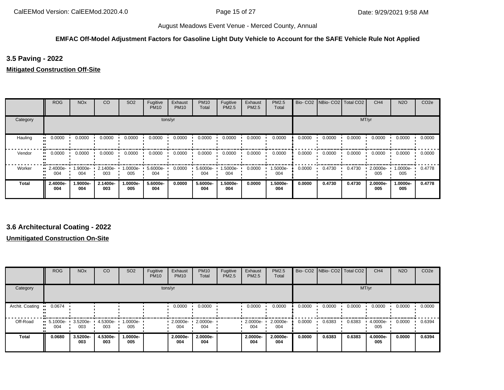## **EMFAC Off-Model Adjustment Factors for Gasoline Light Duty Vehicle to Account for the SAFE Vehicle Rule Not Applied**

**3.5 Paving - 2022**

**Mitigated Construction Off-Site**

|              | <b>ROG</b>              | <b>NO<sub>x</sub></b> | CO              | SO <sub>2</sub> | Fugitive<br><b>PM10</b> | Exhaust<br><b>PM10</b> | <b>PM10</b><br>Total | Fugitive<br>PM2.5 | Exhaust<br>PM2.5 | PM2.5<br>Total  |        | Bio- CO2 NBio- CO2 Total CO2 |        | CH <sub>4</sub> | <b>N2O</b>      | CO <sub>2e</sub> |
|--------------|-------------------------|-----------------------|-----------------|-----------------|-------------------------|------------------------|----------------------|-------------------|------------------|-----------------|--------|------------------------------|--------|-----------------|-----------------|------------------|
| Category     |                         |                       |                 |                 | tons/yr                 |                        |                      |                   |                  |                 |        |                              |        | MT/yr           |                 |                  |
| Hauling      | 0.0000                  | 0.0000                | 0.0000          | 0.0000          | 0.0000                  | 0.0000                 | 0.0000               | 0.0000            | 0.0000           | 0.0000          | 0.0000 | 0.0000                       | 0.0000 | 0.0000          | 0.0000          | 0.0000           |
| Vendor       | 0.0000<br>ш.            | 0.0000                | 0.0000          | 0.0000          | 0.0000                  | 0.0000                 | 0.0000               | 0.0000            | 0.0000           | 0.0000          | 0.0000 | 0.0000                       | 0.0000 | 0.0000          | 0.0000          | 0.0000           |
| Worker       | $\cdot$ 2.4000e-<br>004 | 1.9000e-<br>004       | 2.1400e-<br>003 | 1.0000e-<br>005 | $5.6000e -$<br>004      | 0.0000                 | 5.6000e-<br>004      | 1.5000e-<br>004   | 0.0000           | 1.5000e-<br>004 | 0.0000 | 0.4730                       | 0.4730 | 2.0000e-<br>005 | -.0000e<br>005  | 0.4778           |
| <b>Total</b> | 2.4000e-<br>004         | 1.9000e-<br>004       | 2.1400e-<br>003 | -.0000e<br>005  | 5.6000e-<br>004         | 0.0000                 | 5.6000e-<br>004      | 1.5000e-<br>004   | 0.0000           | 1.5000e-<br>004 | 0.0000 | 0.4730                       | 0.4730 | 2.0000e-<br>005 | 1.0000e-<br>005 | 0.4778           |

# **3.6 Architectural Coating - 2022**

**Unmitigated Construction On-Site**

|                 | <b>ROG</b>                     | <b>NO<sub>x</sub></b> | CO              | SO <sub>2</sub> | Fugitive<br><b>PM10</b> | Exhaust<br><b>PM10</b> | <b>PM10</b><br>Total | Fugitive<br>PM2.5 | Exhaust<br>PM2.5 | PM2.5<br>Total  |        | Bio- CO2   NBio- CO2   Total CO2 |        | CH <sub>4</sub> | <b>N2O</b> | CO <sub>2e</sub> |
|-----------------|--------------------------------|-----------------------|-----------------|-----------------|-------------------------|------------------------|----------------------|-------------------|------------------|-----------------|--------|----------------------------------|--------|-----------------|------------|------------------|
| Category        |                                |                       |                 |                 |                         | tons/yr                |                      |                   |                  |                 |        |                                  | MT/yr  |                 |            |                  |
| Archit. Coating | 0.0674                         |                       |                 |                 |                         | 0.0000                 | 0.0000               |                   | 0.0000           | 0.0000          | 0.0000 | 0.0000                           | 0.0000 | 0.0000          | 0.0000     | 0.0000           |
| Off-Road        | $\blacksquare$ 5.1000e-<br>004 | 3.5200e-<br>003       | 4.5300e-<br>003 | 1.0000e-<br>005 |                         | 2.0000e-<br>004        | 2.0000e-<br>004      |                   | 2.0000e-<br>004  | 2.0000e-<br>004 | 0.0000 | 0.6383                           | 0.6383 | 4.0000e-<br>005 | 0.0000     | 0.6394           |
| Total           | 0.0680                         | 3.5200e-<br>003       | 4.5300e-<br>003 | 1.0000e-<br>005 |                         | 2.0000e-<br>004        | 2.0000e-<br>004      |                   | 2.0000e-<br>004  | 2.0000e-<br>004 | 0.0000 | 0.6383                           | 0.6383 | 4.0000e-<br>005 | 0.0000     | 0.6394           |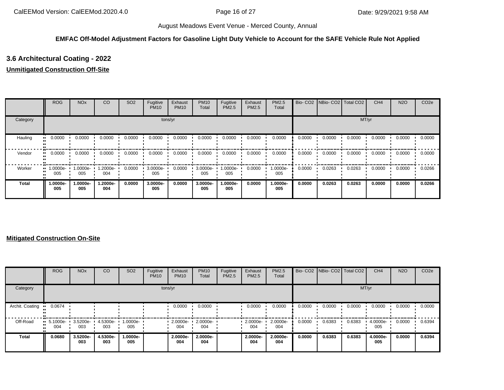## **EMFAC Off-Model Adjustment Factors for Gasoline Light Duty Vehicle to Account for the SAFE Vehicle Rule Not Applied**

# **3.6 Architectural Coating - 2022**

#### **Unmitigated Construction Off-Site**

|          | <b>ROG</b>                     | <b>NO<sub>x</sub></b> | CO              | SO <sub>2</sub> | Fugitive<br><b>PM10</b> | Exhaust<br><b>PM10</b> | <b>PM10</b><br>Total | Fugitive<br>PM2.5 | Exhaust<br>PM2.5 | PM2.5<br>Total  |        | Bio- CO2 NBio- CO2 Total CO2 |        | CH <sub>4</sub> | <b>N2O</b> | CO <sub>2e</sub> |
|----------|--------------------------------|-----------------------|-----------------|-----------------|-------------------------|------------------------|----------------------|-------------------|------------------|-----------------|--------|------------------------------|--------|-----------------|------------|------------------|
| Category |                                |                       |                 |                 |                         | tons/yr                |                      |                   |                  |                 |        |                              |        | MT/yr           |            |                  |
| Hauling  | 0.0000<br>                     | 0.0000                | 0.0000          | 0.0000          | 0.0000                  | 0.0000                 | 0.0000               | 0.0000            | 0.0000           | 0.0000          | 0.0000 | 0.0000                       | 0.0000 | 0.0000          | 0.0000     | 0.0000           |
| Vendor   | 0.0000<br>                     | 0.0000                | 0.0000          | 0.0000          | 0.0000                  | 0.0000                 | 0.0000               | 0.0000            | 0.0000           | 0.0000          | 0.0000 | 0.0000                       | 0.0000 | 0.0000          | 0.0000     | 0.0000           |
| Worker   | $\blacksquare$ 1.0000e-<br>005 | 1.0000e-<br>005       | 1.2000e-<br>004 | 0.0000          | 3.0000e-<br>005         | 0.0000                 | 3.0000e-<br>005      | 1.0000e-<br>005   | 0.0000           | 1.0000e-<br>005 | 0.0000 | 0.0263                       | 0.0263 | 0.0000          | 0.0000     | 0.0266           |
| Total    | 1.0000e-<br>005                | 1.0000e-<br>005       | -2000e.<br>004  | 0.0000          | 3.0000e-<br>005         | 0.0000                 | 3.0000e-<br>005      | 1.0000e-<br>005   | 0.0000           | 1.0000e-<br>005 | 0.0000 | 0.0263                       | 0.0263 | 0.0000          | 0.0000     | 0.0266           |

#### **Mitigated Construction On-Site**

|                 | <b>ROG</b>                         | <b>NO<sub>x</sub></b> | CO              | SO <sub>2</sub>   | Fugitive<br><b>PM10</b> | Exhaust<br><b>PM10</b> | <b>PM10</b><br>Total | Fugitive<br><b>PM2.5</b> | Exhaust<br>PM2.5 | PM2.5<br>Total  |        | Bio- CO2   NBio- CO2   Total CO2 |        | CH <sub>4</sub> | <b>N2O</b> | CO <sub>2e</sub> |
|-----------------|------------------------------------|-----------------------|-----------------|-------------------|-------------------------|------------------------|----------------------|--------------------------|------------------|-----------------|--------|----------------------------------|--------|-----------------|------------|------------------|
| Category        |                                    |                       |                 |                   |                         | tons/yr                |                      |                          |                  |                 |        |                                  | MT/yr  |                 |            |                  |
| Archit. Coating | 0.0674                             |                       |                 |                   |                         | 0.0000                 | 0.0000               |                          | 0.0000           | 0.0000          | 0.0000 | 0.0000                           | 0.0000 | 0.0000          | 0.0000     | 0.0000           |
| Off-Road        | $\blacksquare$ 5.1000e-<br><br>004 | 3.5200e-<br>003       | 4.5300e-<br>003 | 1.0000e- ∙<br>005 |                         | 2.0000e-<br>004        | 2.0000e-<br>004      |                          | 2.0000e-<br>004  | 2.0000e-<br>004 | 0.0000 | 0.6383                           | 0.6383 | 4.0000e-<br>005 | 0.0000     | 0.6394           |
| Total           | 0.0680                             | 3.5200e-<br>003       | 4.5300e-<br>003 | -.0000e<br>005    |                         | 2.0000e-<br>004        | 2.0000e-<br>004      |                          | 2.0000e-<br>004  | 2.0000e-<br>004 | 0.0000 | 0.6383                           | 0.6383 | 4.0000e-<br>005 | 0.0000     | 0.6394           |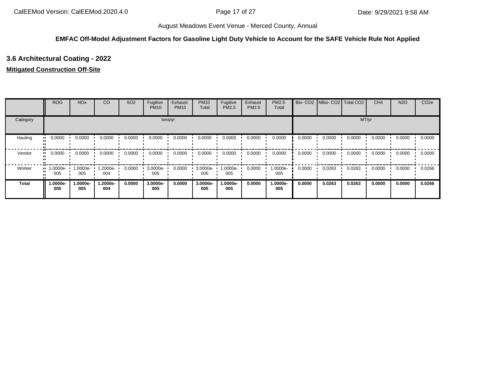## **EMFAC Off-Model Adjustment Factors for Gasoline Light Duty Vehicle to Account for the SAFE Vehicle Rule Not Applied**

# **3.6 Architectural Coating - 2022**

#### **Mitigated Construction Off-Site**

|          | <b>ROG</b>                     | <b>NO<sub>x</sub></b> | <sub>CO</sub>   | SO <sub>2</sub> | Fugitive<br><b>PM10</b> | Exhaust<br><b>PM10</b> | <b>PM10</b><br>Total | Fugitive<br>PM2.5 | Exhaust<br>PM2.5 | PM2.5<br>Total  |        | Bio- CO2   NBio- CO2   Total CO2 |        | CH <sub>4</sub> | <b>N2O</b> | CO <sub>2e</sub> |
|----------|--------------------------------|-----------------------|-----------------|-----------------|-------------------------|------------------------|----------------------|-------------------|------------------|-----------------|--------|----------------------------------|--------|-----------------|------------|------------------|
| Category |                                |                       |                 |                 |                         | tons/yr                |                      |                   |                  |                 |        |                                  | MT/yr  |                 |            |                  |
| Hauling  | 0.0000<br>                     | 0.0000                | 0.0000          | 0.0000          | 0.0000                  | 0.0000                 | 0.0000               | 0.0000            | 0.0000           | 0.0000          | 0.0000 | 0.0000                           | 0.0000 | 0.0000          | 0.0000     | 0.0000           |
| Vendor   | 0.0000<br>                     | 0.0000                | 0.0000          | 0.0000          | 0.0000                  | 0.0000                 | 0.0000               | 0.0000            | 0.0000           | 0.0000          | 0.0000 | 0.0000                           | 0.0000 | 0.0000          | 0.0000     | 0.0000           |
| Worker   | $\blacksquare$ 1.0000e-<br>005 | 1.0000e-<br>005       | 1.2000e-<br>004 | 0.0000          | 3.0000e-<br>005         | 0.0000                 | 3.0000e-<br>005      | 1.0000e-<br>005   | 0.0000           | 1.0000e-<br>005 | 0.0000 | 0.0263                           | 0.0263 | 0.0000          | 0.0000     | 0.0266           |
| Total    | 1.0000e-<br>005                | 1.0000e-<br>005       | 1.2000e-<br>004 | 0.0000          | 3.0000e-<br>005         | 0.0000                 | 3.0000e-<br>005      | 1.0000e-<br>005   | 0.0000           | 1.0000e-<br>005 | 0.0000 | 0.0263                           | 0.0263 | 0.0000          | 0.0000     | 0.0266           |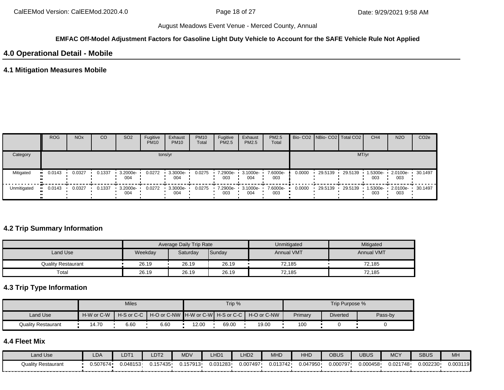#### **EMFAC Off-Model Adjustment Factors for Gasoline Light Duty Vehicle to Account for the SAFE Vehicle Rule Not Applied**

# **4.0 Operational Detail - Mobile**

#### **4.1 Mitigation Measures Mobile**

|             | <b>ROG</b>   | <b>NO<sub>x</sub></b> | <b>CO</b> | SO <sub>2</sub> | Fugitive<br><b>PM10</b> | Exhaust<br><b>PM10</b> | <b>PM10</b><br>Total | Fugitive<br><b>PM2.5</b> | Exhaust<br>PM2.5 | PM2.5<br>Total  |        | Bio- CO2   NBio- CO2   Total CO2 |         | CH <sub>4</sub> | <b>N2O</b>      | CO <sub>2e</sub> |
|-------------|--------------|-----------------------|-----------|-----------------|-------------------------|------------------------|----------------------|--------------------------|------------------|-----------------|--------|----------------------------------|---------|-----------------|-----------------|------------------|
| Category    |              |                       |           |                 |                         | tons/yr                |                      |                          |                  |                 |        |                                  | MT/yr   |                 |                 |                  |
| Mitigated   | 0.0143<br>ш. | 0.0327                | 0.1337    | 3.2000e-<br>004 | 0.0272                  | 3.3000e-<br>004        | 0.0275               | 7.2900e-<br>003          | 3.1000e-<br>004  | 7.6000e-<br>003 | 0.0000 | 29.5139                          | 29.5139 | 1.5300e-<br>003 | 2.0100e-<br>003 | $-30.1497$       |
| Unmitigated | 0.0143       | 0.0327                | 0.1337    | 3.2000e-<br>004 | 0.0272                  | 3.3000e-<br>004        | 0.0275               | 7.2900e-<br>003          | 3.1000e-<br>004  | 7.6000e-<br>003 | 0.0000 | 29.5139                          | 29.5139 | 1.5300e-<br>003 | 2.0100e-<br>003 | $-30.1497$       |

#### **4.2 Trip Summary Information**

|                           |         | <b>Average Daily Trip Rate</b> |        | Unmitigated       | Mitigated         |
|---------------------------|---------|--------------------------------|--------|-------------------|-------------------|
| Land Use                  | Weekday | Saturday                       | Sunday | <b>Annual VMT</b> | <b>Annual VMT</b> |
| <b>Quality Restaurant</b> | 26.19   | 26.19                          | 26.19  | 72.185            | 72.185            |
| Total                     | 26.19   | 26.19                          | 26.19  | 72,185            | 72,185            |

# **4.3 Trip Type Information**

|                    |            | <b>Miles</b> |      |       | Trip % |                                                                |         | Trip Purpose %  |         |
|--------------------|------------|--------------|------|-------|--------|----------------------------------------------------------------|---------|-----------------|---------|
| Land Use           | H-W or C-W |              |      |       |        | H-S or C-C │ H-O or C-NW ┃H-W or C-W┃ H-S or C-C ┃ H-O or C-NW | Primary | <b>Diverted</b> | Pass-by |
| Quality Restaurant | 14.70      | 6.60         | 6.60 | 12.00 | 69.00  | 19.00                                                          | 100     |                 |         |

# **4.4 Fleet Mix**

| Land Use                  | LDA      | LDT1     | LDT <sub>2</sub> | <b>MDV</b> | LHD1     | LHD <sub>2</sub> | <b>MHD</b> | HHC      | OBUS     | UBUS     | <b>MCY</b> | <b>SBUS</b> | MH       |
|---------------------------|----------|----------|------------------|------------|----------|------------------|------------|----------|----------|----------|------------|-------------|----------|
| <b>Quality Restaurant</b> | 1.507674 | 0.048153 | J.157435         | 0.157913   | 0.031283 | 0.007497         | 0.013742   | 0.047950 | 0.000797 | 0.000458 | 0.021748   | 0.002230    | 0.003119 |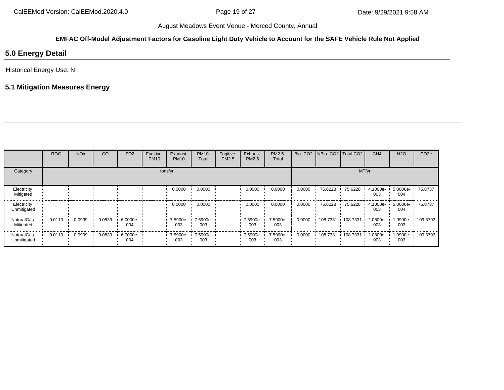# **EMFAC Off-Model Adjustment Factors for Gasoline Light Duty Vehicle to Account for the SAFE Vehicle Rule Not Applied**

# **5.0 Energy Detail**

Historical Energy Use: N

# **5.1 Mitigation Measures Energy**

|                                | <b>ROG</b>               | <b>NO<sub>x</sub></b> | CO     | SO <sub>2</sub> | Fugitive<br><b>PM10</b> | Exhaust<br><b>PM10</b> | <b>PM10</b><br>Total | Fugitive<br><b>PM2.5</b> | Exhaust<br>PM2.5   | PM2.5<br>Total  |        | Bio- CO2   NBio- CO2   Total CO2 |                  | CH <sub>4</sub> | <b>N2O</b>      | CO <sub>2e</sub> |
|--------------------------------|--------------------------|-----------------------|--------|-----------------|-------------------------|------------------------|----------------------|--------------------------|--------------------|-----------------|--------|----------------------------------|------------------|-----------------|-----------------|------------------|
| Category                       |                          |                       |        |                 |                         | tons/yr                |                      |                          |                    |                 |        |                                  |                  | MT/yr           |                 |                  |
| Electricity<br>Mitigated       |                          |                       |        |                 |                         | 0.0000                 | 0.0000               |                          | 0.0000             | 0.0000          | 0.0000 | 75.6228                          | 75.6228          | 4.1000e-<br>003 | 5.0000e-<br>004 | 75.8737          |
| Electricity<br>Unmitigated     |                          |                       |        |                 |                         | 0.0000                 | 0.0000               |                          | 0.0000             | 0.0000          | 0.0000 | 75.6228                          | 75.6228          | 4.1000e-<br>003 | 5.0000e-<br>004 | 75.8737          |
| <b>NaturalGas</b><br>Mitigated | 0.0110<br>$\blacksquare$ | 0.0999                | 0.0839 | 6.0000e-<br>004 |                         | 7.5900e-<br>003        | 7.5900e-<br>003      |                          | 7.5900e-<br>003    | 7.5900e-<br>003 | 0.0000 | 108.7331                         | .108.7331        | 2.0800e-<br>003 | 1.9900e-<br>003 | 109.3793         |
| NaturalGas<br>Unmitigated      | 0.0110<br>$\blacksquare$ | 0.0999                | 0.0839 | 6.0000e-<br>004 |                         | 7.5900e- •<br>003      | 7.5900e-<br>003      |                          | $-7.5900e-$<br>003 | 7.5900e-<br>003 | 0.0000 | $+108.7331$                      | $\cdot$ 108.7331 | 2.0800e-<br>003 | 1.9900e-<br>003 | 109.3793         |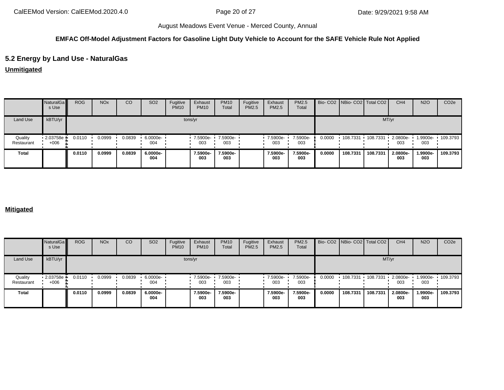# **EMFAC Off-Model Adjustment Factors for Gasoline Light Duty Vehicle to Account for the SAFE Vehicle Rule Not Applied**

# **5.2 Energy by Land Use - NaturalGas**

**Unmitigated**

|                       | NaturalGa<br>s Use     | <b>ROG</b> | <b>NO<sub>x</sub></b> | CO     | SO <sub>2</sub> | Fugitive<br><b>PM10</b> | Exhaust<br><b>PM10</b> | <b>PM10</b><br>Total | Fugitive<br>PM2.5 | Exhaust<br>PM2.5 | PM2.5<br>Total  |        | Bio- CO2   NBio- CO2   Total CO2 |             | CH <sub>4</sub>         | <b>N2O</b>      | CO <sub>2e</sub> |
|-----------------------|------------------------|------------|-----------------------|--------|-----------------|-------------------------|------------------------|----------------------|-------------------|------------------|-----------------|--------|----------------------------------|-------------|-------------------------|-----------------|------------------|
| Land Use              | kBTU/yr                |            |                       |        |                 |                         | tons/yr                |                      |                   |                  |                 |        |                                  | MT/yr       |                         |                 |                  |
| Quality<br>Restaurant | $2.03758e +$<br>$+006$ | 0.0110     | 0.0999                | 0.0839 | 6.0000e-<br>004 |                         | 7.5900e-<br>003        | 7.5900e-<br>003      |                   | 7.5900e-<br>003  | 7.5900e-<br>003 | 0.0000 | 108.7331                         | $+108.7331$ | $\cdot$ 2.0800e-<br>003 | 1.9900e-<br>003 | $\cdot$ 109.3793 |
| <b>Total</b>          |                        | 0.0110     | 0.0999                | 0.0839 | 6.0000e-<br>004 |                         | 7.5900e-<br>003        | 7.5900e-<br>003      |                   | 7.5900e-<br>003  | 7.5900e-<br>003 | 0.0000 | 108.7331                         | 108.7331    | 2.0800e-<br>003         | 1.9900e-<br>003 | 109.3793         |

### **Mitigated**

|                       | NaturalGa<br>s Use   | <b>ROG</b> | <b>NO<sub>x</sub></b> | <b>CO</b> | SO <sub>2</sub> | Fugitive<br><b>PM10</b> | Exhaust<br><b>PM10</b> | <b>PM10</b><br>Total | Fugitive<br><b>PM2.5</b> | Exhaust<br>PM2.5 | PM2.5<br>Total  |        | Bio- CO2 NBio- CO2   Total CO2 |             | CH <sub>4</sub> | <b>N2O</b>      | CO <sub>2e</sub> |
|-----------------------|----------------------|------------|-----------------------|-----------|-----------------|-------------------------|------------------------|----------------------|--------------------------|------------------|-----------------|--------|--------------------------------|-------------|-----------------|-----------------|------------------|
| Land Use              | kBTU/yr              |            |                       |           |                 |                         | tons/yr                |                      |                          |                  |                 |        |                                | MT/yr       |                 |                 |                  |
| Quality<br>Restaurant | 2.03758e +<br>$+006$ | 0.0110     | 0.0999                | 0.0839    | 6.0000e-<br>004 |                         | ■ 7.5900e-<br>003      | 7.5900e-<br>003      |                          | 7.5900e-<br>003  | 7.5900e-<br>003 | 0.0000 | 108.7331                       | $+108.7331$ | 2.0800e-<br>003 | 1.9900e-<br>003 | 109.3793         |
| <b>Total</b>          |                      | 0.0110     | 0.0999                | 0.0839    | 6.0000e-<br>004 |                         | 7.5900e-<br>003        | 7.5900e-<br>003      |                          | 7.5900e-<br>003  | 7.5900e-<br>003 | 0.0000 | 108.7331                       | 108,7331    | 2.0800e-<br>003 | 1.9900e-<br>003 | 109.3793         |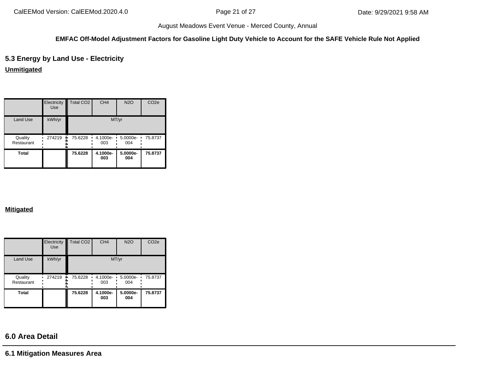#### **EMFAC Off-Model Adjustment Factors for Gasoline Light Duty Vehicle to Account for the SAFE Vehicle Rule Not Applied**

# **5.3 Energy by Land Use - Electricity**

**Unmitigated**

|                       | Electricity<br>Use | Total CO <sub>2</sub> | CH <sub>4</sub> | <b>N2O</b>      | CO <sub>2e</sub> |
|-----------------------|--------------------|-----------------------|-----------------|-----------------|------------------|
| Land Use              | kWh/yr             |                       |                 | MT/yr           |                  |
| Quality<br>Restaurant | 274219             | 75.6228<br>۰.         | 4.1000e-<br>003 | 5.0000e-<br>004 | 75.8737          |
| Total                 |                    | 75.6228               | 4.1000e-<br>003 | 5.0000e-<br>004 | 75.8737          |

#### **Mitigated**

|                       | Electricity<br>Use | Total CO <sub>2</sub> | CH <sub>4</sub>      | <b>N2O</b>      | CO <sub>2e</sub> |
|-----------------------|--------------------|-----------------------|----------------------|-----------------|------------------|
| Land Use              | kWh/yr             |                       |                      | MT/yr           |                  |
| Quality<br>Restaurant | 274219<br>۰.       | 75.6228               | 4.1000e-<br>٠<br>003 | 5.0000e-<br>004 | 75.8737          |
| <b>Total</b>          |                    | 75.6228               | 4.1000e-<br>003      | 5.0000e-<br>004 | 75.8737          |

# **6.0 Area Detail**

**6.1 Mitigation Measures Area**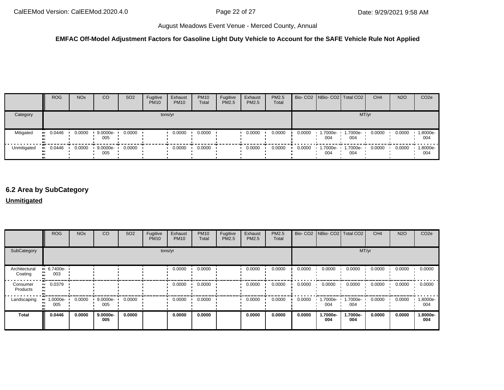#### **EMFAC Off-Model Adjustment Factors for Gasoline Light Duty Vehicle to Account for the SAFE Vehicle Rule Not Applied**

|             | <b>ROG</b> | <b>NO<sub>x</sub></b> | CO                        | SO <sub>2</sub> | Fugitive<br><b>PM10</b> | Exhaust<br><b>PM10</b> | <b>PM10</b><br>Total | Fugitive<br><b>PM2.5</b> | Exhaust<br>PM2.5 | PM2.5<br>Total |        |                 | Bio- CO2 NBio- CO2   Total CO2 | CH <sub>4</sub> | <b>N2O</b> | CO <sub>2</sub> e |
|-------------|------------|-----------------------|---------------------------|-----------------|-------------------------|------------------------|----------------------|--------------------------|------------------|----------------|--------|-----------------|--------------------------------|-----------------|------------|-------------------|
| Category    |            |                       |                           |                 |                         | tons/yr                |                      |                          |                  |                |        |                 |                                | MT/yr           |            |                   |
| Mitigated   | $-0.0446$  | 0.0000                | $9.0000e - 1$<br>005      | 0.0000          |                         | 0.0000                 | 0.0000               |                          | 0.0000           | 0.0000         | 0.0000 | 1.7000e-<br>004 | 1.7000e-<br>004                | 0.0000          | 0.0000     | 1.8000e-<br>004   |
| Unmitigated | $-0.0446$  | 0.0000                | $9.0000e - 0.0000$<br>005 |                 |                         | 0.0000                 | 0.0000               |                          | 0.0000           | 0.0000         | 0.0000 | 004             | $1.7000e - 1.7000e -$<br>004   | 0.0000          | 0.0000     | 1.8000e-<br>004   |

# **6.2 Area by SubCategory**

#### **Unmitigated**

|                          | <b>ROG</b>          | <b>NO<sub>x</sub></b> | CO              | SO <sub>2</sub> | Fugitive<br><b>PM10</b> | Exhaust<br><b>PM10</b> | <b>PM10</b><br>Total | Fugitive<br>PM2.5 | Exhaust<br><b>PM2.5</b> | PM2.5<br>Total |        | Bio- CO2 NBio- CO2 Total CO2 |                 | CH <sub>4</sub> | <b>N2O</b> | CO <sub>2e</sub> |
|--------------------------|---------------------|-----------------------|-----------------|-----------------|-------------------------|------------------------|----------------------|-------------------|-------------------------|----------------|--------|------------------------------|-----------------|-----------------|------------|------------------|
| SubCategory              |                     |                       |                 |                 |                         | tons/yr                |                      |                   |                         |                |        |                              |                 | MT/yr           |            |                  |
| Architectural<br>Coating | $-6.7400e-$<br>003  |                       |                 |                 |                         | 0.0000                 | 0.0000               |                   | 0.0000                  | 0.0000         | 0.0000 | 0.0000                       | 0.0000          | 0.0000          | 0.0000     | 0.0000           |
| Consumer<br>Products     | 0.0379<br>$\bullet$ |                       |                 |                 |                         | 0.0000                 | 0.0000               |                   | 0.0000                  | 0.0000         | 0.0000 | 0.0000                       | 0.0000          | 0.0000          | 0.0000     | 0.0000           |
| Landscaping              | 1.0000e-<br>005     | 0.0000                | 9.0000e-<br>005 | 0.0000          |                         | 0.0000                 | 0.0000               |                   | 0.0000                  | 0.0000         | 0.0000 | 1.7000e-<br>004              | 1.7000e-<br>004 | 0.0000          | 0.0000     | 1.8000e-<br>004  |
| <b>Total</b>             | 0.0446              | 0.0000                | 9.0000e-<br>005 | 0.0000          |                         | 0.0000                 | 0.0000               |                   | 0.0000                  | 0.0000         | 0.0000 | 1.7000e-<br>004              | 1.7000e-<br>004 | 0.0000          | 0.0000     | 1.8000e-<br>004  |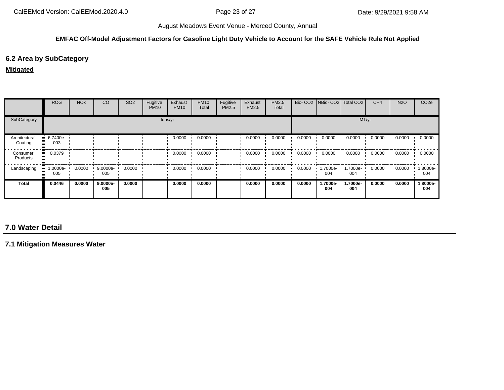#### **EMFAC Off-Model Adjustment Factors for Gasoline Light Duty Vehicle to Account for the SAFE Vehicle Rule Not Applied**

# **6.2 Area by SubCategory**

#### **Mitigated**

|                          | <b>ROG</b>         | <b>NO<sub>x</sub></b> | CO              | SO <sub>2</sub> | Fugitive<br><b>PM10</b> | Exhaust<br><b>PM10</b> | <b>PM10</b><br>Total | Fugitive<br>PM2.5 | Exhaust<br><b>PM2.5</b> | PM2.5<br>Total |        |                 | Bio- CO2 NBio- CO2 Total CO2 | CH <sub>4</sub> | <b>N2O</b> | CO <sub>2e</sub> |
|--------------------------|--------------------|-----------------------|-----------------|-----------------|-------------------------|------------------------|----------------------|-------------------|-------------------------|----------------|--------|-----------------|------------------------------|-----------------|------------|------------------|
| SubCategory              |                    |                       |                 |                 |                         | tons/yr                |                      |                   |                         |                |        |                 | MT/yr                        |                 |            |                  |
| Architectural<br>Coating | $-6.7400e-$<br>003 |                       |                 |                 |                         | 0.0000                 | 0.0000               |                   | 0.0000                  | 0.0000         | 0.0000 | 0.0000          | 0.0000                       | 0.0000          | 0.0000     | 0.0000           |
| Consumer<br>Products     | 0.0379             |                       |                 |                 |                         | 0.0000                 | 0.0000               |                   | 0.0000                  | 0.0000         | 0.0000 | 0.0000          | 0.0000                       | 0.0000          | 0.0000     | 0.0000           |
| Landscaping              | .0000e-<br>005     | 0.0000                | 9.0000e-<br>005 | 0.0000          |                         | 0.0000                 | 0.0000               |                   | 0.0000                  | 0.0000         | 0.0000 | --7000e<br>004  | 1.7000e-<br>004              | 0.0000          | 0.0000     | -8000e.<br>004   |
| <b>Total</b>             | 0.0446             | 0.0000                | 9.0000e-<br>005 | 0.0000          |                         | 0.0000                 | 0.0000               |                   | 0.0000                  | 0.0000         | 0.0000 | 1.7000e-<br>004 | 1.7000e-<br>004              | 0.0000          | 0.0000     | 1.8000e-<br>004  |

# **7.0 Water Detail**

**7.1 Mitigation Measures Water**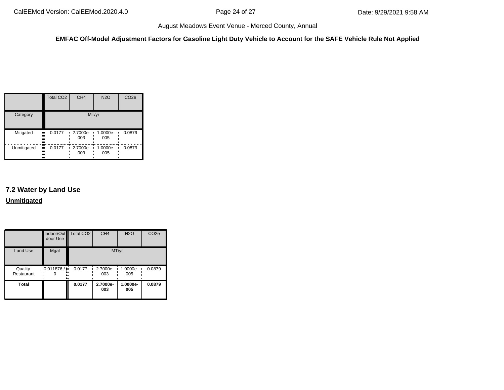**EMFAC Off-Model Adjustment Factors for Gasoline Light Duty Vehicle to Account for the SAFE Vehicle Rule Not Applied**

|                 | Total CO <sub>2</sub>          | CH <sub>4</sub>      | <b>N2O</b>      | CO <sub>2e</sub> |
|-----------------|--------------------------------|----------------------|-----------------|------------------|
| Category        |                                | MT/yr                |                 |                  |
| Mitigated<br>ш, | 0.0177<br><br>81<br>.,         | 2.7000e-<br>п<br>003 | 1.0000e-<br>005 | 0.0879           |
| Unmitigated     | m<br>0.0177<br>ш,<br><br><br>ш | 2.7000e-<br>п<br>003 | 1.0000e-<br>005 | 0.0879           |

# **7.2 Water by Land Use Unmitigated**

|                       | door Use        | Indoor/Out Total CO2 | CH <sub>4</sub> | <b>N2O</b>      | CO <sub>2e</sub> |
|-----------------------|-----------------|----------------------|-----------------|-----------------|------------------|
| <b>Land Use</b>       | Mgal            |                      | MT/yr           |                 |                  |
| Quality<br>Restaurant | 0.011876/<br>۰. | 0.0177               | 2.7000e-<br>003 | 1.0000e-<br>005 | 0.0879           |
| <b>Total</b>          |                 | 0.0177               | 2.7000e-<br>003 | 1.0000e-<br>005 | 0.0879           |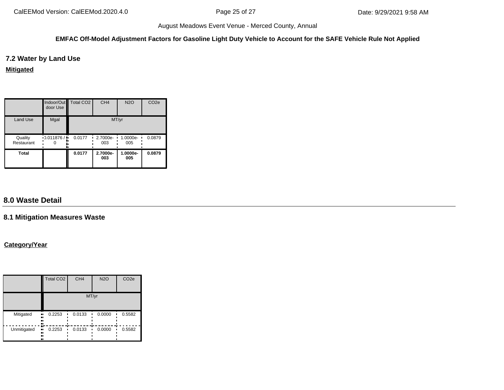#### **EMFAC Off-Model Adjustment Factors for Gasoline Light Duty Vehicle to Account for the SAFE Vehicle Rule Not Applied**

### **7.2 Water by Land Use**

#### **Mitigated**

|                       | door Use  | Indoor/Out Total CO2 | CH <sub>4</sub> | <b>N2O</b>      | CO <sub>2e</sub> |
|-----------------------|-----------|----------------------|-----------------|-----------------|------------------|
| Land Use              | Mgal      |                      | MT/yr           |                 |                  |
| Quality<br>Restaurant | 0.011876/ | 0.0177<br>٠          | 2.7000e-<br>003 | 1.0000e-<br>005 | 0.0879           |
| <b>Total</b>          |           | 0.0177               | 2.7000e-<br>003 | 1.0000e-<br>005 | 0.0879           |

# **8.0 Waste Detail**

# **8.1 Mitigation Measures Waste**

# **Category/Year**

|             | <b>Total CO2</b>                       | CH <sub>4</sub> | <b>N2O</b> | CO <sub>2e</sub> |  |
|-------------|----------------------------------------|-----------------|------------|------------------|--|
|             | MT/yr                                  |                 |            |                  |  |
| Mitigated   | 0.2253<br><br><br><br>                 | 0.0133          | 0.0000     | 0.5582           |  |
| Unmitigated | 0.2253<br>.,<br>$\blacksquare$<br><br> | 0.0133          | 0.0000     | 0.5582           |  |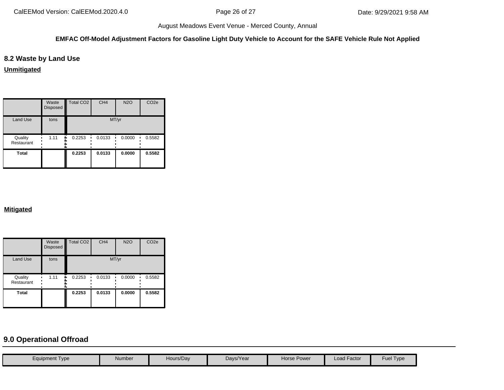#### **EMFAC Off-Model Adjustment Factors for Gasoline Light Duty Vehicle to Account for the SAFE Vehicle Rule Not Applied**

# **8.2 Waste by Land Use**

**Unmitigated**

|                       | Waste<br>Disposed | <b>Total CO2</b> | CH <sub>4</sub> | <b>N2O</b> | CO <sub>2e</sub> |
|-----------------------|-------------------|------------------|-----------------|------------|------------------|
| Land Use              | tons              |                  | MT/yr           |            |                  |
| Quality<br>Restaurant | 1.11              | 0.2253           | 0.0133          | 0.0000     | 0.5582           |
| Total                 |                   | 0.2253           | 0.0133          | 0.0000     | 0.5582           |

### **Mitigated**

|                       | Waste<br><b>Disposed</b> | Total CO <sub>2</sub> | CH <sub>4</sub> | <b>N2O</b> | CO <sub>2e</sub> |
|-----------------------|--------------------------|-----------------------|-----------------|------------|------------------|
| <b>Land Use</b>       | tons                     |                       | MT/yr           |            |                  |
| Quality<br>Restaurant | 1.11                     | 0.2253<br>۰.          | 0.0133          | 0.0000     | 0.5582           |
| <b>Total</b>          |                          | 0.2253                | 0.0133          | 0.0000     | 0.5582           |

# **9.0 Operational Offroad**

| <b>Equipment Type</b> | Number | Hours/Dav | Davs/Year | <b>Horse Power</b> | <b>Load Factor</b> | Fuel Type |
|-----------------------|--------|-----------|-----------|--------------------|--------------------|-----------|